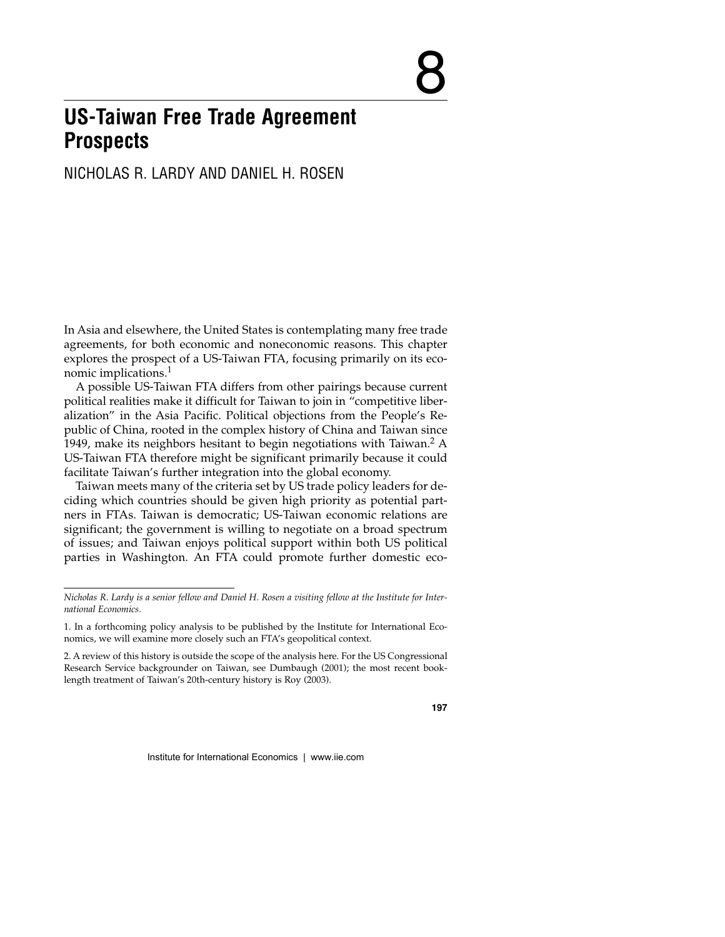# **US-Taiwan Free Trade Agreement Prospects**

# NICHOLAS R. LARDY AND DANIEL H. ROSEN

In Asia and elsewhere, the United States is contemplating many free trade agreements, for both economic and noneconomic reasons. This chapter explores the prospect of a US-Taiwan FTA, focusing primarily on its economic implications.<sup>1</sup>

A possible US-Taiwan FTA differs from other pairings because current political realities make it difficult for Taiwan to join in "competitive liberalization" in the Asia Pacific. Political objections from the People's Republic of China, rooted in the complex history of China and Taiwan since 1949, make its neighbors hesitant to begin negotiations with Taiwan.<sup>2</sup> A US-Taiwan FTA therefore might be significant primarily because it could facilitate Taiwan's further integration into the global economy.

Taiwan meets many of the criteria set by US trade policy leaders for deciding which countries should be given high priority as potential partners in FTAs. Taiwan is democratic; US-Taiwan economic relations are significant; the government is willing to negotiate on a broad spectrum of issues; and Taiwan enjoys political support within both US political parties in Washington. An FTA could promote further domestic eco-

*Nicholas R. Lardy is a senior fellow and Daniel H. Rosen a visiting fellow at the Institute for International Economics.*

<sup>1.</sup> In a forthcoming policy analysis to be published by the Institute for International Economics, we will examine more closely such an FTA's geopolitical context.

<sup>2.</sup> A review of this history is outside the scope of the analysis here. For the US Congressional Research Service backgrounder on Taiwan, see Dumbaugh (2001); the most recent booklength treatment of Taiwan's 20th-century history is Roy (2003).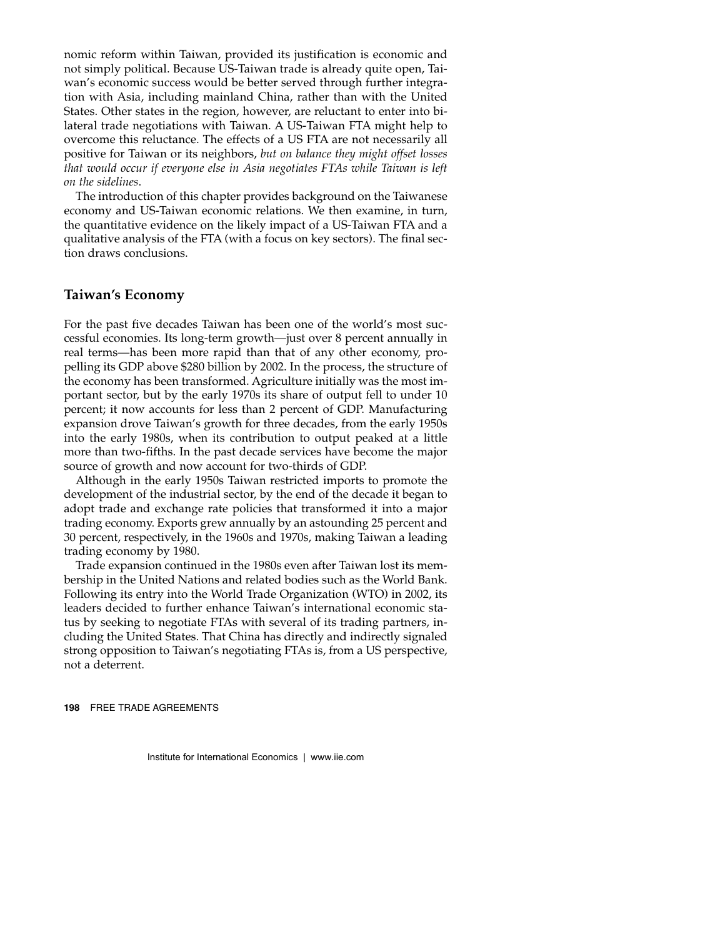nomic reform within Taiwan, provided its justification is economic and not simply political. Because US-Taiwan trade is already quite open, Taiwan's economic success would be better served through further integration with Asia, including mainland China, rather than with the United States. Other states in the region, however, are reluctant to enter into bilateral trade negotiations with Taiwan. A US-Taiwan FTA might help to overcome this reluctance. The effects of a US FTA are not necessarily all positive for Taiwan or its neighbors, *but on balance they might offset losses that would occur if everyone else in Asia negotiates FTAs while Taiwan is left on the sidelines*.

The introduction of this chapter provides background on the Taiwanese economy and US-Taiwan economic relations. We then examine, in turn, the quantitative evidence on the likely impact of a US-Taiwan FTA and a qualitative analysis of the FTA (with a focus on key sectors). The final section draws conclusions.

#### **Taiwan's Economy**

For the past five decades Taiwan has been one of the world's most successful economies. Its long-term growth—just over 8 percent annually in real terms—has been more rapid than that of any other economy, propelling its GDP above \$280 billion by 2002. In the process, the structure of the economy has been transformed. Agriculture initially was the most important sector, but by the early 1970s its share of output fell to under 10 percent; it now accounts for less than 2 percent of GDP. Manufacturing expansion drove Taiwan's growth for three decades, from the early 1950s into the early 1980s, when its contribution to output peaked at a little more than two-fifths. In the past decade services have become the major source of growth and now account for two-thirds of GDP.

Although in the early 1950s Taiwan restricted imports to promote the development of the industrial sector, by the end of the decade it began to adopt trade and exchange rate policies that transformed it into a major trading economy. Exports grew annually by an astounding 25 percent and 30 percent, respectively, in the 1960s and 1970s, making Taiwan a leading trading economy by 1980.

Trade expansion continued in the 1980s even after Taiwan lost its membership in the United Nations and related bodies such as the World Bank. Following its entry into the World Trade Organization (WTO) in 2002, its leaders decided to further enhance Taiwan's international economic status by seeking to negotiate FTAs with several of its trading partners, including the United States. That China has directly and indirectly signaled strong opposition to Taiwan's negotiating FTAs is, from a US perspective, not a deterrent.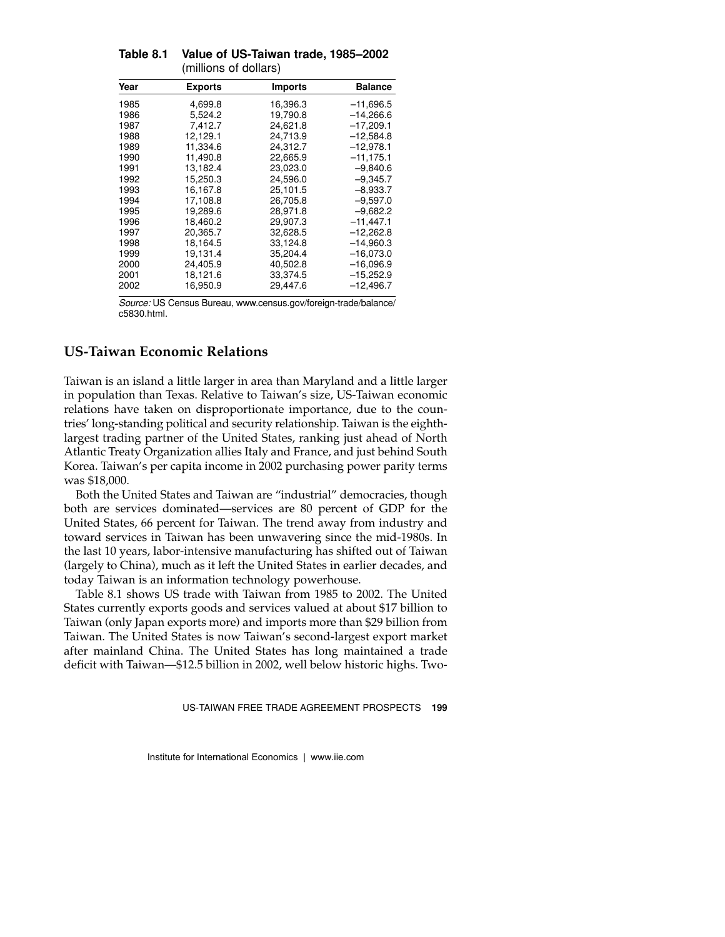| <b>Exports</b> | <b>Imports</b> | Balance     |
|----------------|----------------|-------------|
| 4,699.8        | 16,396.3       | $-11,696.5$ |
| 5.524.2        | 19,790.8       | $-14,266.6$ |
| 7,412.7        | 24.621.8       | $-17.209.1$ |
| 12,129.1       | 24,713.9       | $-12,584.8$ |
| 11.334.6       | 24.312.7       | $-12.978.1$ |
| 11,490.8       | 22,665.9       | $-11.175.1$ |
| 13.182.4       | 23.023.0       | $-9.840.6$  |
| 15.250.3       | 24.596.0       | $-9,345.7$  |
| 16,167.8       | 25,101.5       | $-8,933.7$  |
| 17,108.8       | 26,705.8       | $-9,597.0$  |
| 19,289.6       | 28.971.8       | $-9,682.2$  |
| 18,460.2       | 29.907.3       | $-11.447.1$ |
| 20.365.7       | 32,628.5       | $-12,262.8$ |
| 18,164.5       | 33,124.8       | $-14,960.3$ |
| 19,131.4       | 35,204.4       | $-16,073.0$ |
| 24,405.9       | 40,502.8       | $-16,096.9$ |
| 18,121.6       | 33.374.5       | $-15,252.9$ |
| 16,950.9       | 29,447.6       | $-12,496.7$ |
|                |                |             |

**Table 8.1 Value of US-Taiwan trade, 1985–2002** (millions of dollars)

*Source:* US Census Bureau, www.census.gov/foreign-trade/balance/ c5830.html.

# **US-Taiwan Economic Relations**

Taiwan is an island a little larger in area than Maryland and a little larger in population than Texas. Relative to Taiwan's size, US-Taiwan economic relations have taken on disproportionate importance, due to the countries' long-standing political and security relationship. Taiwan is the eighthlargest trading partner of the United States, ranking just ahead of North Atlantic Treaty Organization allies Italy and France, and just behind South Korea. Taiwan's per capita income in 2002 purchasing power parity terms was \$18,000.

Both the United States and Taiwan are "industrial" democracies, though both are services dominated—services are 80 percent of GDP for the United States, 66 percent for Taiwan. The trend away from industry and toward services in Taiwan has been unwavering since the mid-1980s. In the last 10 years, labor-intensive manufacturing has shifted out of Taiwan (largely to China), much as it left the United States in earlier decades, and today Taiwan is an information technology powerhouse.

Table 8.1 shows US trade with Taiwan from 1985 to 2002. The United States currently exports goods and services valued at about \$17 billion to Taiwan (only Japan exports more) and imports more than \$29 billion from Taiwan. The United States is now Taiwan's second-largest export market after mainland China. The United States has long maintained a trade deficit with Taiwan—\$12.5 billion in 2002, well below historic highs. Two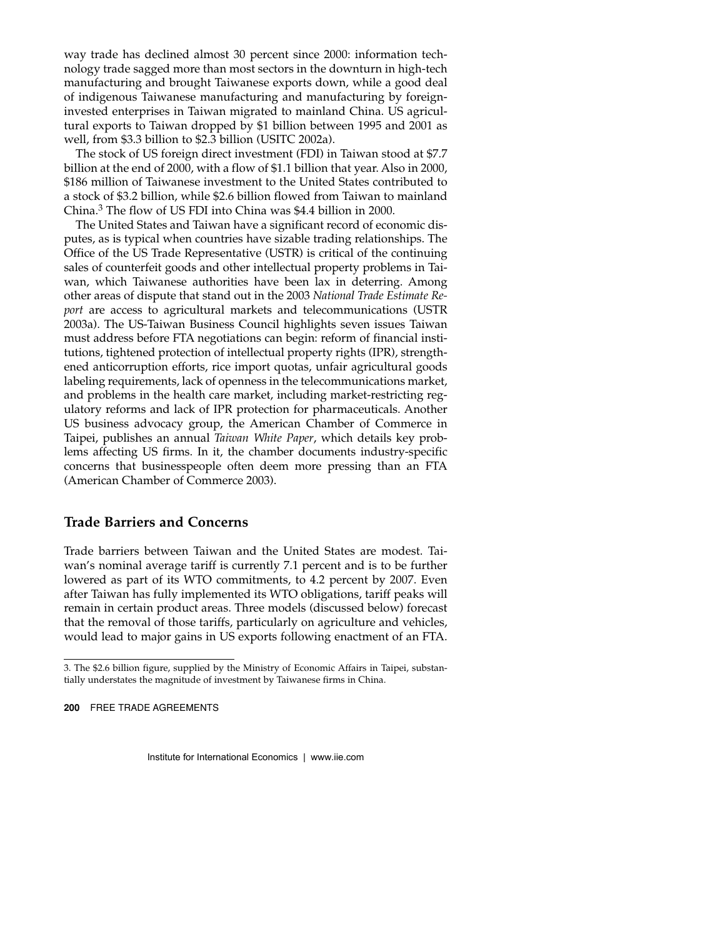way trade has declined almost 30 percent since 2000: information technology trade sagged more than most sectors in the downturn in high-tech manufacturing and brought Taiwanese exports down, while a good deal of indigenous Taiwanese manufacturing and manufacturing by foreigninvested enterprises in Taiwan migrated to mainland China. US agricultural exports to Taiwan dropped by \$1 billion between 1995 and 2001 as well, from \$3.3 billion to \$2.3 billion (USITC 2002a).

The stock of US foreign direct investment (FDI) in Taiwan stood at \$7.7 billion at the end of 2000, with a flow of \$1.1 billion that year. Also in 2000, \$186 million of Taiwanese investment to the United States contributed to a stock of \$3.2 billion, while \$2.6 billion flowed from Taiwan to mainland China.3 The flow of US FDI into China was \$4.4 billion in 2000.

The United States and Taiwan have a significant record of economic disputes, as is typical when countries have sizable trading relationships. The Office of the US Trade Representative (USTR) is critical of the continuing sales of counterfeit goods and other intellectual property problems in Taiwan, which Taiwanese authorities have been lax in deterring. Among other areas of dispute that stand out in the 2003 *National Trade Estimate Report* are access to agricultural markets and telecommunications (USTR 2003a). The US-Taiwan Business Council highlights seven issues Taiwan must address before FTA negotiations can begin: reform of financial institutions, tightened protection of intellectual property rights (IPR), strengthened anticorruption efforts, rice import quotas, unfair agricultural goods labeling requirements, lack of openness in the telecommunications market, and problems in the health care market, including market-restricting regulatory reforms and lack of IPR protection for pharmaceuticals. Another US business advocacy group, the American Chamber of Commerce in Taipei, publishes an annual *Taiwan White Paper*, which details key problems affecting US firms. In it, the chamber documents industry-specific concerns that businesspeople often deem more pressing than an FTA (American Chamber of Commerce 2003).

#### **Trade Barriers and Concerns**

Trade barriers between Taiwan and the United States are modest. Taiwan's nominal average tariff is currently 7.1 percent and is to be further lowered as part of its WTO commitments, to 4.2 percent by 2007. Even after Taiwan has fully implemented its WTO obligations, tariff peaks will remain in certain product areas. Three models (discussed below) forecast that the removal of those tariffs, particularly on agriculture and vehicles, would lead to major gains in US exports following enactment of an FTA.

<sup>3.</sup> The \$2.6 billion figure, supplied by the Ministry of Economic Affairs in Taipei, substantially understates the magnitude of investment by Taiwanese firms in China.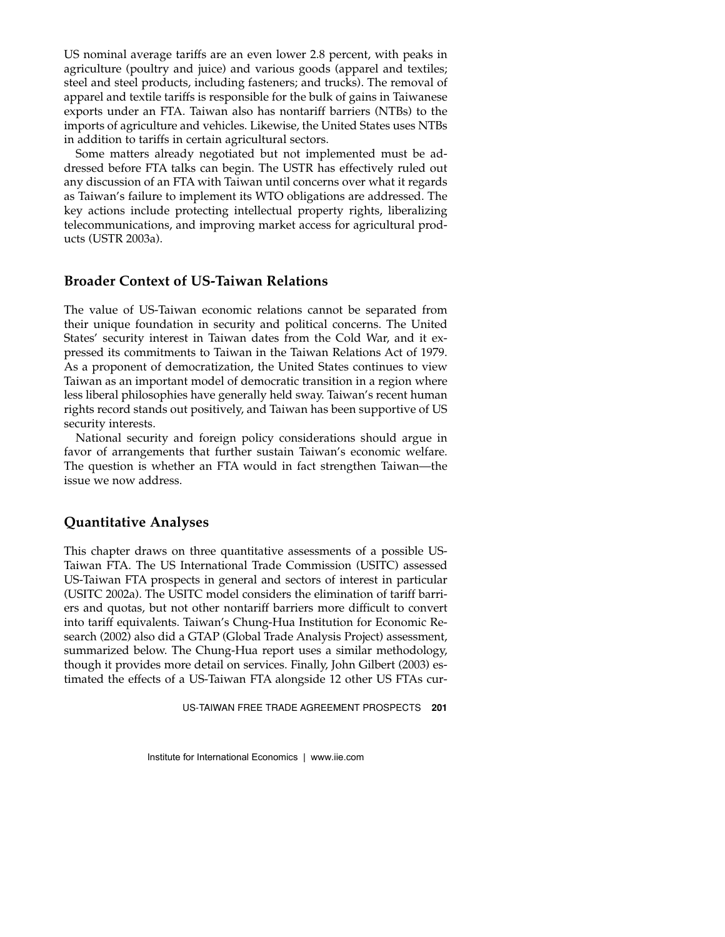US nominal average tariffs are an even lower 2.8 percent, with peaks in agriculture (poultry and juice) and various goods (apparel and textiles; steel and steel products, including fasteners; and trucks). The removal of apparel and textile tariffs is responsible for the bulk of gains in Taiwanese exports under an FTA. Taiwan also has nontariff barriers (NTBs) to the imports of agriculture and vehicles. Likewise, the United States uses NTBs in addition to tariffs in certain agricultural sectors.

Some matters already negotiated but not implemented must be addressed before FTA talks can begin. The USTR has effectively ruled out any discussion of an FTA with Taiwan until concerns over what it regards as Taiwan's failure to implement its WTO obligations are addressed. The key actions include protecting intellectual property rights, liberalizing telecommunications, and improving market access for agricultural products (USTR 2003a).

## **Broader Context of US-Taiwan Relations**

The value of US-Taiwan economic relations cannot be separated from their unique foundation in security and political concerns. The United States' security interest in Taiwan dates from the Cold War, and it expressed its commitments to Taiwan in the Taiwan Relations Act of 1979. As a proponent of democratization, the United States continues to view Taiwan as an important model of democratic transition in a region where less liberal philosophies have generally held sway. Taiwan's recent human rights record stands out positively, and Taiwan has been supportive of US security interests.

National security and foreign policy considerations should argue in favor of arrangements that further sustain Taiwan's economic welfare. The question is whether an FTA would in fact strengthen Taiwan—the issue we now address.

#### **Quantitative Analyses**

This chapter draws on three quantitative assessments of a possible US-Taiwan FTA. The US International Trade Commission (USITC) assessed US-Taiwan FTA prospects in general and sectors of interest in particular (USITC 2002a). The USITC model considers the elimination of tariff barriers and quotas, but not other nontariff barriers more difficult to convert into tariff equivalents. Taiwan's Chung-Hua Institution for Economic Research (2002) also did a GTAP (Global Trade Analysis Project) assessment, summarized below. The Chung-Hua report uses a similar methodology, though it provides more detail on services. Finally, John Gilbert (2003) estimated the effects of a US-Taiwan FTA alongside 12 other US FTAs cur-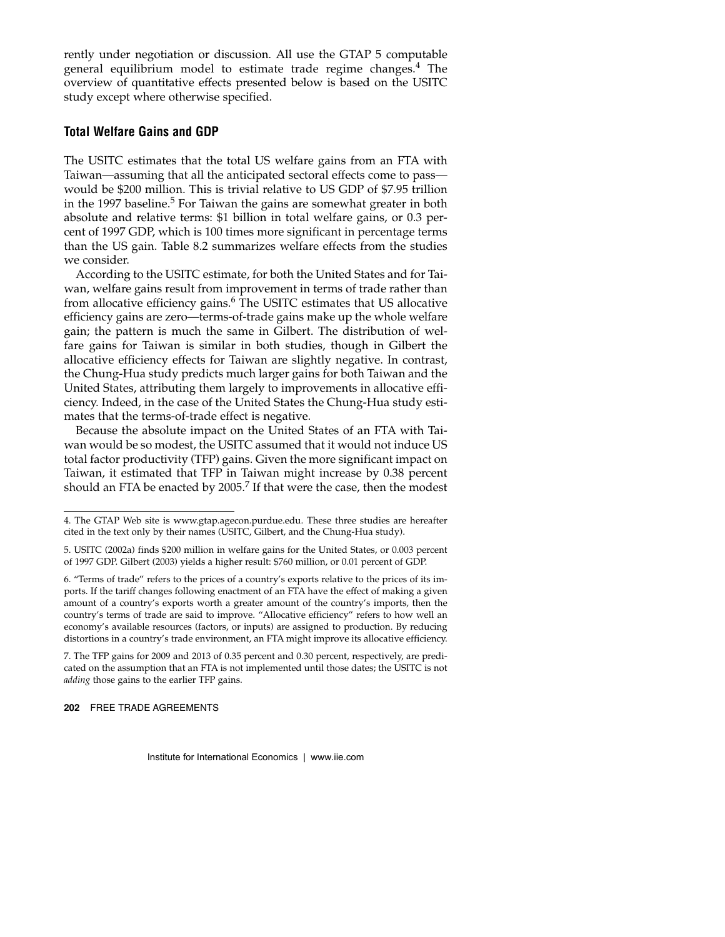rently under negotiation or discussion. All use the GTAP 5 computable general equilibrium model to estimate trade regime changes. $4$  The overview of quantitative effects presented below is based on the USITC study except where otherwise specified.

#### **Total Welfare Gains and GDP**

The USITC estimates that the total US welfare gains from an FTA with Taiwan—assuming that all the anticipated sectoral effects come to pass would be \$200 million. This is trivial relative to US GDP of \$7.95 trillion in the 1997 baseline.<sup>5</sup> For Taiwan the gains are somewhat greater in both absolute and relative terms: \$1 billion in total welfare gains, or 0.3 percent of 1997 GDP, which is 100 times more significant in percentage terms than the US gain. Table 8.2 summarizes welfare effects from the studies we consider.

According to the USITC estimate, for both the United States and for Taiwan, welfare gains result from improvement in terms of trade rather than from allocative efficiency gains.<sup>6</sup> The USITC estimates that US allocative efficiency gains are zero—terms-of-trade gains make up the whole welfare gain; the pattern is much the same in Gilbert. The distribution of welfare gains for Taiwan is similar in both studies, though in Gilbert the allocative efficiency effects for Taiwan are slightly negative. In contrast, the Chung-Hua study predicts much larger gains for both Taiwan and the United States, attributing them largely to improvements in allocative efficiency. Indeed, in the case of the United States the Chung-Hua study estimates that the terms-of-trade effect is negative.

Because the absolute impact on the United States of an FTA with Taiwan would be so modest, the USITC assumed that it would not induce US total factor productivity (TFP) gains. Given the more significant impact on Taiwan, it estimated that TFP in Taiwan might increase by 0.38 percent should an FTA be enacted by 2005.<sup>7</sup> If that were the case, then the modest

<sup>4.</sup> The GTAP Web site is www.gtap.agecon.purdue.edu. These three studies are hereafter cited in the text only by their names (USITC, Gilbert, and the Chung-Hua study).

<sup>5.</sup> USITC (2002a) finds \$200 million in welfare gains for the United States, or 0.003 percent of 1997 GDP. Gilbert (2003) yields a higher result: \$760 million, or 0.01 percent of GDP.

<sup>6. &</sup>quot;Terms of trade" refers to the prices of a country's exports relative to the prices of its imports. If the tariff changes following enactment of an FTA have the effect of making a given amount of a country's exports worth a greater amount of the country's imports, then the country's terms of trade are said to improve. "Allocative efficiency" refers to how well an economy's available resources (factors, or inputs) are assigned to production. By reducing distortions in a country's trade environment, an FTA might improve its allocative efficiency.

<sup>7.</sup> The TFP gains for 2009 and 2013 of 0.35 percent and 0.30 percent, respectively, are predicated on the assumption that an FTA is not implemented until those dates; the USITC is not *adding* those gains to the earlier TFP gains.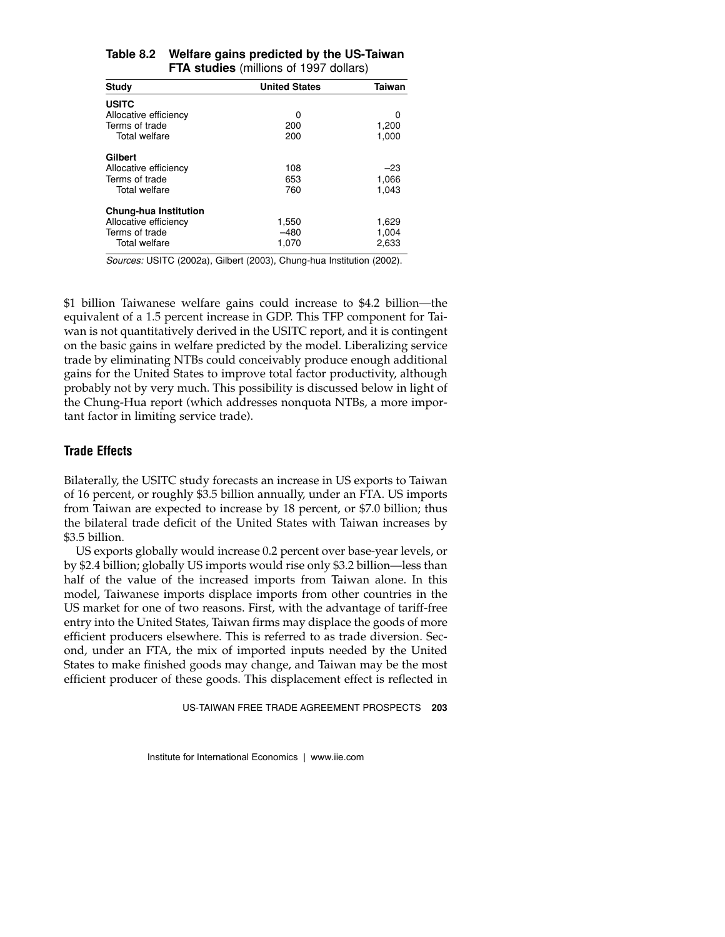| Study                 | <b>United States</b> | Taiwan |
|-----------------------|----------------------|--------|
| <b>USITC</b>          |                      |        |
| Allocative efficiency | ი                    | 0      |
| Terms of trade        | 200                  | 1,200  |
| Total welfare         | 200                  | 1,000  |
| Gilbert               |                      |        |
| Allocative efficiency | 108                  | $-23$  |
| Terms of trade        | 653                  | 1,066  |
| <b>Total welfare</b>  | 760                  | 1.043  |
| Chung-hua Institution |                      |        |
| Allocative efficiency | 1,550                | 1,629  |
| Terms of trade        | $-480$               | 1,004  |
| <b>Total welfare</b>  | 1.070                | 2.633  |

#### **Table 8.2 Welfare gains predicted by the US-Taiwan FTA studies** (millions of 1997 dollars)

*Sources:* USITC (2002a), Gilbert (2003), Chung-hua Institution (2002).

\$1 billion Taiwanese welfare gains could increase to \$4.2 billion—the equivalent of a 1.5 percent increase in GDP. This TFP component for Taiwan is not quantitatively derived in the USITC report, and it is contingent on the basic gains in welfare predicted by the model. Liberalizing service trade by eliminating NTBs could conceivably produce enough additional gains for the United States to improve total factor productivity, although probably not by very much. This possibility is discussed below in light of the Chung-Hua report (which addresses nonquota NTBs, a more important factor in limiting service trade).

#### **Trade Effects**

Bilaterally, the USITC study forecasts an increase in US exports to Taiwan of 16 percent, or roughly \$3.5 billion annually, under an FTA. US imports from Taiwan are expected to increase by 18 percent, or \$7.0 billion; thus the bilateral trade deficit of the United States with Taiwan increases by \$3.5 billion.

US exports globally would increase 0.2 percent over base-year levels, or by \$2.4 billion; globally US imports would rise only \$3.2 billion—less than half of the value of the increased imports from Taiwan alone. In this model, Taiwanese imports displace imports from other countries in the US market for one of two reasons. First, with the advantage of tariff-free entry into the United States, Taiwan firms may displace the goods of more efficient producers elsewhere. This is referred to as trade diversion. Second, under an FTA, the mix of imported inputs needed by the United States to make finished goods may change, and Taiwan may be the most efficient producer of these goods. This displacement effect is reflected in

US-TAIWAN FREE TRADE AGREEMENT PROSPECTS **203**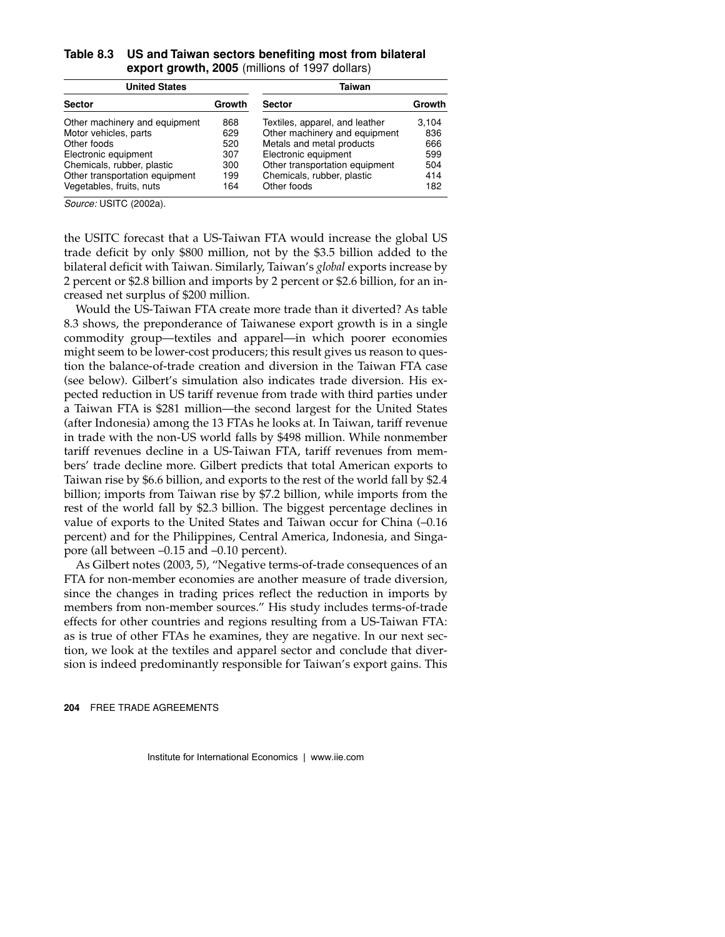| Table 8.3 US and Taiwan sectors benefiting most from bilateral |
|----------------------------------------------------------------|
| export growth, 2005 (millions of 1997 dollars)                 |

| <b>United States</b>           |        | Taiwan                         |        |
|--------------------------------|--------|--------------------------------|--------|
| <b>Sector</b>                  | Growth | <b>Sector</b>                  | Growth |
| Other machinery and equipment  | 868    | Textiles, apparel, and leather | 3.104  |
| Motor vehicles, parts          | 629    | Other machinery and equipment  | 836    |
| Other foods                    | 520    | Metals and metal products      | 666    |
| Electronic equipment           | 307    | Electronic equipment           | 599    |
| Chemicals, rubber, plastic     | 300    | Other transportation equipment | 504    |
| Other transportation equipment | 199    | Chemicals, rubber, plastic     | 414    |
| Vegetables, fruits, nuts       | 164    | Other foods                    | 182    |

*Source:* USITC (2002a).

the USITC forecast that a US-Taiwan FTA would increase the global US trade deficit by only \$800 million, not by the \$3.5 billion added to the bilateral deficit with Taiwan. Similarly, Taiwan's *global* exports increase by 2 percent or \$2.8 billion and imports by 2 percent or \$2.6 billion, for an increased net surplus of \$200 million.

Would the US-Taiwan FTA create more trade than it diverted? As table 8.3 shows, the preponderance of Taiwanese export growth is in a single commodity group—textiles and apparel—in which poorer economies might seem to be lower-cost producers; this result gives us reason to question the balance-of-trade creation and diversion in the Taiwan FTA case (see below). Gilbert's simulation also indicates trade diversion. His expected reduction in US tariff revenue from trade with third parties under a Taiwan FTA is \$281 million—the second largest for the United States (after Indonesia) among the 13 FTAs he looks at. In Taiwan, tariff revenue in trade with the non-US world falls by \$498 million. While nonmember tariff revenues decline in a US-Taiwan FTA, tariff revenues from members' trade decline more. Gilbert predicts that total American exports to Taiwan rise by \$6.6 billion, and exports to the rest of the world fall by \$2.4 billion; imports from Taiwan rise by \$7.2 billion, while imports from the rest of the world fall by \$2.3 billion. The biggest percentage declines in value of exports to the United States and Taiwan occur for China (–0.16 percent) and for the Philippines, Central America, Indonesia, and Singapore (all between –0.15 and –0.10 percent).

As Gilbert notes (2003, 5), "Negative terms-of-trade consequences of an FTA for non-member economies are another measure of trade diversion, since the changes in trading prices reflect the reduction in imports by members from non-member sources." His study includes terms-of-trade effects for other countries and regions resulting from a US-Taiwan FTA: as is true of other FTAs he examines, they are negative. In our next section, we look at the textiles and apparel sector and conclude that diversion is indeed predominantly responsible for Taiwan's export gains. This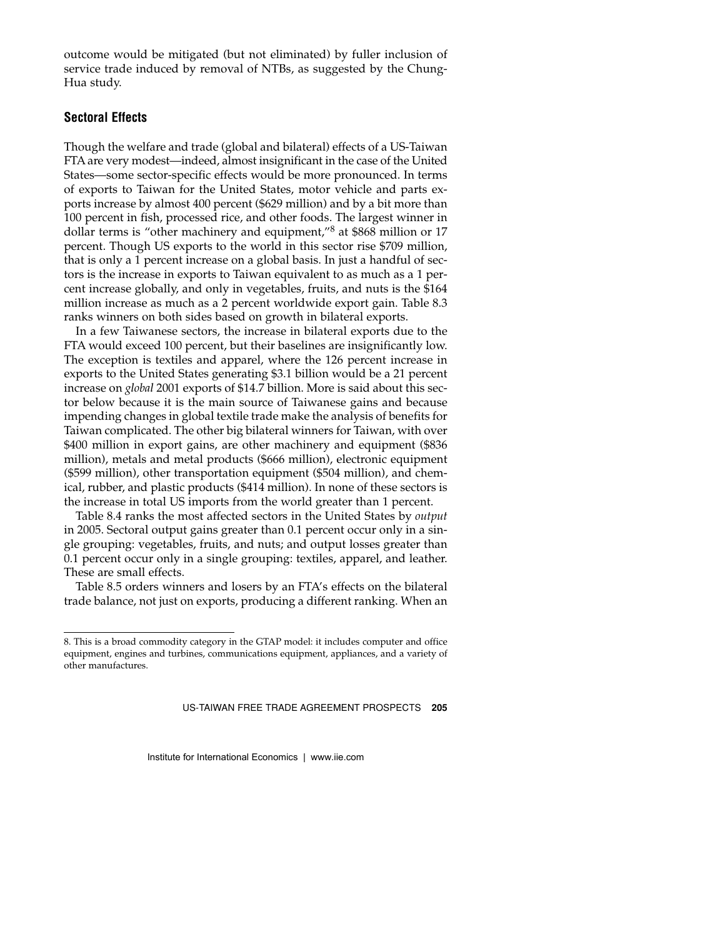outcome would be mitigated (but not eliminated) by fuller inclusion of service trade induced by removal of NTBs, as suggested by the Chung-Hua study.

#### **Sectoral Effects**

Though the welfare and trade (global and bilateral) effects of a US-Taiwan FTA are very modest—indeed, almost insignificant in the case of the United States—some sector-specific effects would be more pronounced. In terms of exports to Taiwan for the United States, motor vehicle and parts exports increase by almost 400 percent (\$629 million) and by a bit more than 100 percent in fish, processed rice, and other foods. The largest winner in dollar terms is "other machinery and equipment,"8 at \$868 million or 17 percent. Though US exports to the world in this sector rise \$709 million, that is only a 1 percent increase on a global basis. In just a handful of sectors is the increase in exports to Taiwan equivalent to as much as a 1 percent increase globally, and only in vegetables, fruits, and nuts is the \$164 million increase as much as a 2 percent worldwide export gain. Table 8.3 ranks winners on both sides based on growth in bilateral exports.

In a few Taiwanese sectors, the increase in bilateral exports due to the FTA would exceed 100 percent, but their baselines are insignificantly low. The exception is textiles and apparel, where the 126 percent increase in exports to the United States generating \$3.1 billion would be a 21 percent increase on *global* 2001 exports of \$14.7 billion. More is said about this sector below because it is the main source of Taiwanese gains and because impending changes in global textile trade make the analysis of benefits for Taiwan complicated. The other big bilateral winners for Taiwan, with over \$400 million in export gains, are other machinery and equipment (\$836 million), metals and metal products (\$666 million), electronic equipment (\$599 million), other transportation equipment (\$504 million), and chemical, rubber, and plastic products (\$414 million). In none of these sectors is the increase in total US imports from the world greater than 1 percent.

Table 8.4 ranks the most affected sectors in the United States by *output* in 2005. Sectoral output gains greater than 0.1 percent occur only in a single grouping: vegetables, fruits, and nuts; and output losses greater than 0.1 percent occur only in a single grouping: textiles, apparel, and leather. These are small effects.

Table 8.5 orders winners and losers by an FTA's effects on the bilateral trade balance, not just on exports, producing a different ranking. When an

<sup>8.</sup> This is a broad commodity category in the GTAP model: it includes computer and office equipment, engines and turbines, communications equipment, appliances, and a variety of other manufactures.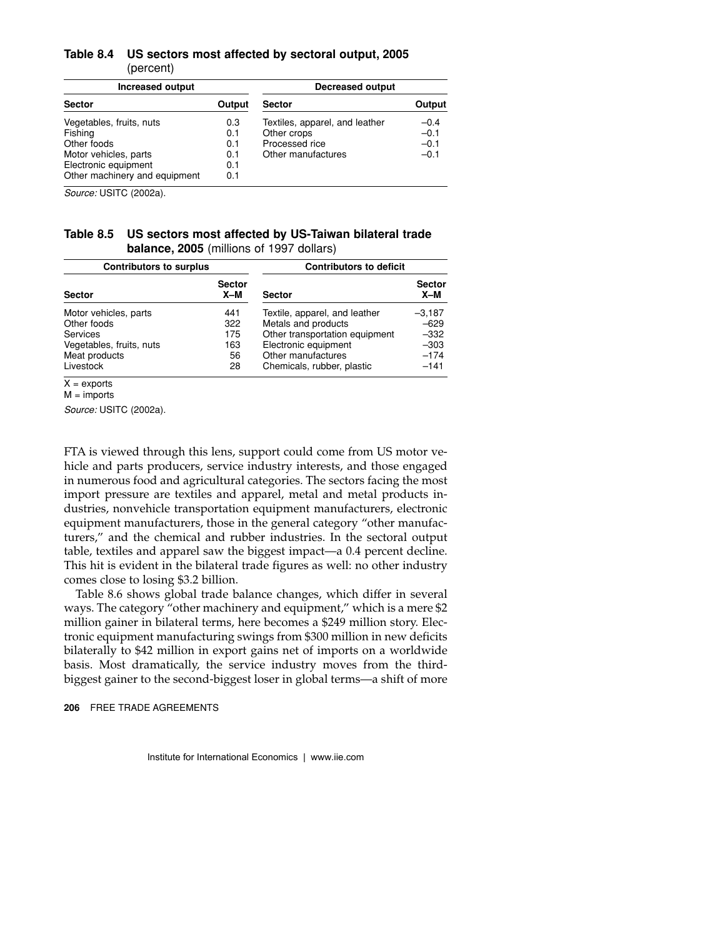#### **Table 8.4 US sectors most affected by sectoral output, 2005** (percent)

| <b>Increased output</b>       |        | <b>Decreased output</b>        |        |
|-------------------------------|--------|--------------------------------|--------|
| <b>Sector</b>                 | Output | <b>Sector</b>                  | Output |
| Vegetables, fruits, nuts      | 0.3    | Textiles, apparel, and leather | $-0.4$ |
| Fishing                       | 0.1    | Other crops                    | $-0.1$ |
| Other foods                   | 0.1    | Processed rice                 | $-0.1$ |
| Motor vehicles, parts         | 0.1    | Other manufactures             | $-0.1$ |
| Electronic equipment          | 0.1    |                                |        |
| Other machinery and equipment | 0.1    |                                |        |

*Source:* USITC (2002a).

#### **Table 8.5 US sectors most affected by US-Taiwan bilateral trade balance, 2005** (millions of 1997 dollars)

| <b>Contributors to surplus</b> |                        | <b>Contributors to deficit</b> |                        |
|--------------------------------|------------------------|--------------------------------|------------------------|
| <b>Sector</b>                  | <b>Sector</b><br>$X-M$ | <b>Sector</b>                  | <b>Sector</b><br>$X-M$ |
| Motor vehicles, parts          | 441                    | Textile, apparel, and leather  | $-3.187$               |
| Other foods                    | 322                    | Metals and products            | $-629$                 |
| <b>Services</b>                | 175                    | Other transportation equipment | $-332$                 |
| Vegetables, fruits, nuts       | 163                    | Electronic equipment           | $-303$                 |
| Meat products                  | 56                     | Other manufactures             | $-174$                 |
| Livestock                      | 28                     | Chemicals, rubber, plastic     | $-141$                 |

 $X =$ exports

 $M =$  imports

*Source:* USITC (2002a).

FTA is viewed through this lens, support could come from US motor vehicle and parts producers, service industry interests, and those engaged in numerous food and agricultural categories. The sectors facing the most import pressure are textiles and apparel, metal and metal products industries, nonvehicle transportation equipment manufacturers, electronic equipment manufacturers, those in the general category "other manufacturers," and the chemical and rubber industries. In the sectoral output table, textiles and apparel saw the biggest impact—a 0.4 percent decline. This hit is evident in the bilateral trade figures as well: no other industry comes close to losing \$3.2 billion.

Table 8.6 shows global trade balance changes, which differ in several ways. The category "other machinery and equipment," which is a mere \$2 million gainer in bilateral terms, here becomes a \$249 million story. Electronic equipment manufacturing swings from \$300 million in new deficits bilaterally to \$42 million in export gains net of imports on a worldwide basis. Most dramatically, the service industry moves from the thirdbiggest gainer to the second-biggest loser in global terms—a shift of more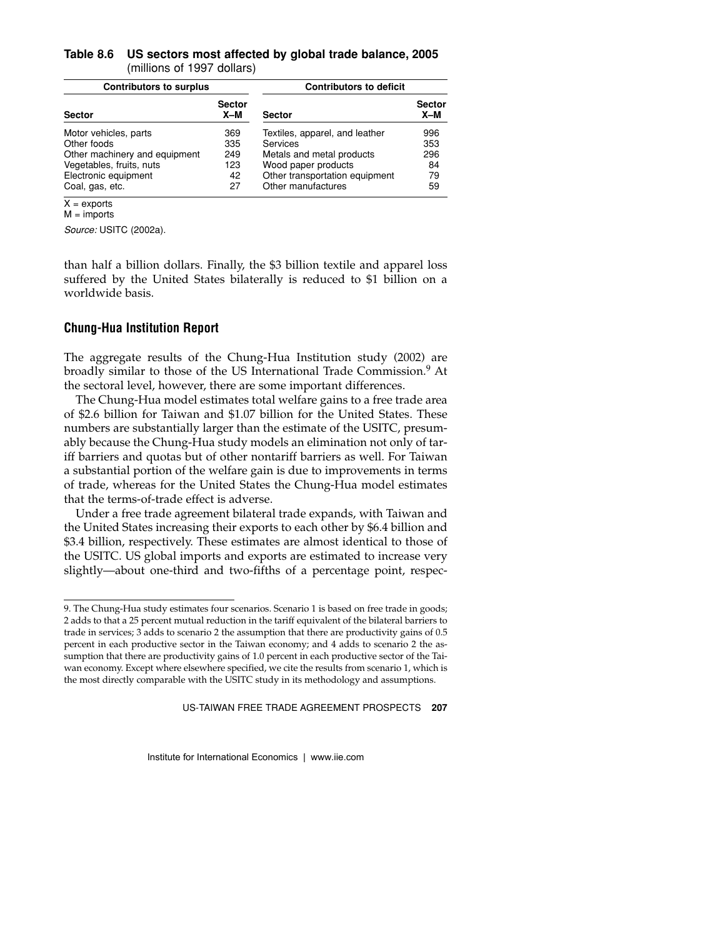#### **Table 8.6 US sectors most affected by global trade balance, 2005** (millions of 1997 dollars)

| <b>Contributors to surplus</b> |                        | <b>Contributors to deficit</b> |                        |
|--------------------------------|------------------------|--------------------------------|------------------------|
| <b>Sector</b>                  | <b>Sector</b><br>$X-M$ | <b>Sector</b>                  | <b>Sector</b><br>$X-M$ |
| Motor vehicles, parts          | 369                    | Textiles, apparel, and leather | 996                    |
| Other foods                    | 335                    | Services                       | 353                    |
| Other machinery and equipment  | 249                    | Metals and metal products      | 296                    |
| Vegetables, fruits, nuts       | 123                    | Wood paper products            | 84                     |
| Electronic equipment           | 42                     | Other transportation equipment | 79                     |
| Coal, gas, etc.                | 27                     | Other manufactures             | 59                     |
| $\ddot{\phantom{1}}$           |                        |                                |                        |

 $X =$ exports  $M =$  imports *Source:* USITC (2002a).

than half a billion dollars. Finally, the \$3 billion textile and apparel loss suffered by the United States bilaterally is reduced to \$1 billion on a worldwide basis.

# **Chung-Hua Institution Report**

The aggregate results of the Chung-Hua Institution study (2002) are broadly similar to those of the US International Trade Commission.<sup>9</sup> At the sectoral level, however, there are some important differences.

The Chung-Hua model estimates total welfare gains to a free trade area of \$2.6 billion for Taiwan and \$1.07 billion for the United States. These numbers are substantially larger than the estimate of the USITC, presumably because the Chung-Hua study models an elimination not only of tariff barriers and quotas but of other nontariff barriers as well. For Taiwan a substantial portion of the welfare gain is due to improvements in terms of trade, whereas for the United States the Chung-Hua model estimates that the terms-of-trade effect is adverse.

Under a free trade agreement bilateral trade expands, with Taiwan and the United States increasing their exports to each other by \$6.4 billion and \$3.4 billion, respectively. These estimates are almost identical to those of the USITC. US global imports and exports are estimated to increase very slightly—about one-third and two-fifths of a percentage point, respec-

<sup>9.</sup> The Chung-Hua study estimates four scenarios. Scenario 1 is based on free trade in goods; 2 adds to that a 25 percent mutual reduction in the tariff equivalent of the bilateral barriers to trade in services; 3 adds to scenario 2 the assumption that there are productivity gains of 0.5 percent in each productive sector in the Taiwan economy; and 4 adds to scenario 2 the assumption that there are productivity gains of 1.0 percent in each productive sector of the Taiwan economy. Except where elsewhere specified, we cite the results from scenario 1, which is the most directly comparable with the USITC study in its methodology and assumptions.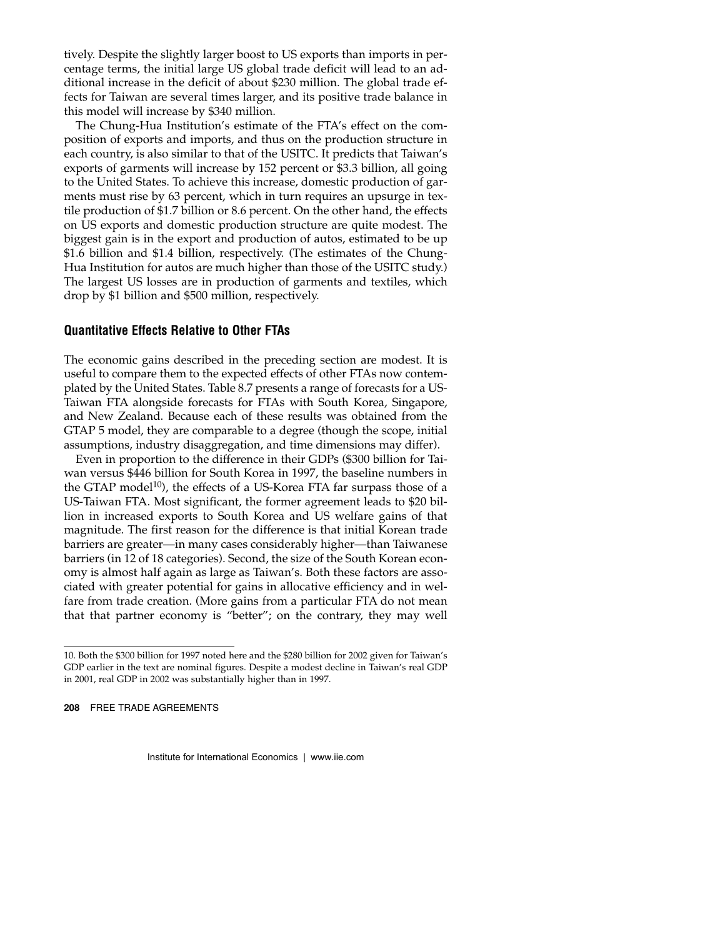tively. Despite the slightly larger boost to US exports than imports in percentage terms, the initial large US global trade deficit will lead to an additional increase in the deficit of about \$230 million. The global trade effects for Taiwan are several times larger, and its positive trade balance in this model will increase by \$340 million.

The Chung-Hua Institution's estimate of the FTA's effect on the composition of exports and imports, and thus on the production structure in each country, is also similar to that of the USITC. It predicts that Taiwan's exports of garments will increase by 152 percent or \$3.3 billion, all going to the United States. To achieve this increase, domestic production of garments must rise by 63 percent, which in turn requires an upsurge in textile production of \$1.7 billion or 8.6 percent. On the other hand, the effects on US exports and domestic production structure are quite modest. The biggest gain is in the export and production of autos, estimated to be up \$1.6 billion and \$1.4 billion, respectively. (The estimates of the Chung-Hua Institution for autos are much higher than those of the USITC study.) The largest US losses are in production of garments and textiles, which drop by \$1 billion and \$500 million, respectively.

#### **Quantitative Effects Relative to Other FTAs**

The economic gains described in the preceding section are modest. It is useful to compare them to the expected effects of other FTAs now contemplated by the United States. Table 8.7 presents a range of forecasts for a US-Taiwan FTA alongside forecasts for FTAs with South Korea, Singapore, and New Zealand. Because each of these results was obtained from the GTAP 5 model, they are comparable to a degree (though the scope, initial assumptions, industry disaggregation, and time dimensions may differ).

Even in proportion to the difference in their GDPs (\$300 billion for Taiwan versus \$446 billion for South Korea in 1997, the baseline numbers in the GTAP model<sup>10</sup>), the effects of a US-Korea FTA far surpass those of a US-Taiwan FTA. Most significant, the former agreement leads to \$20 billion in increased exports to South Korea and US welfare gains of that magnitude. The first reason for the difference is that initial Korean trade barriers are greater—in many cases considerably higher—than Taiwanese barriers (in 12 of 18 categories). Second, the size of the South Korean economy is almost half again as large as Taiwan's. Both these factors are associated with greater potential for gains in allocative efficiency and in welfare from trade creation. (More gains from a particular FTA do not mean that that partner economy is "better"; on the contrary, they may well

<sup>10.</sup> Both the \$300 billion for 1997 noted here and the \$280 billion for 2002 given for Taiwan's GDP earlier in the text are nominal figures. Despite a modest decline in Taiwan's real GDP in 2001, real GDP in 2002 was substantially higher than in 1997.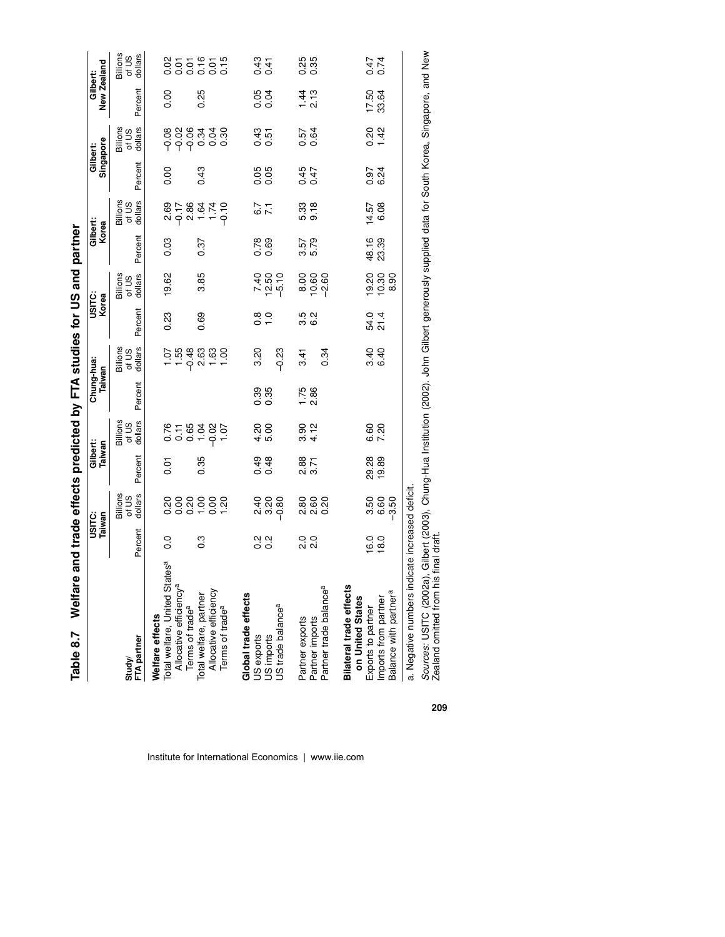| Table 8.7                                                                                                                             | Welfare |                  |                              | and trade effects predicted by FTA studies for US and partner |                              |                      |                              |                        |                              |                   |                              |                       |                              |                                |                              |
|---------------------------------------------------------------------------------------------------------------------------------------|---------|------------------|------------------------------|---------------------------------------------------------------|------------------------------|----------------------|------------------------------|------------------------|------------------------------|-------------------|------------------------------|-----------------------|------------------------------|--------------------------------|------------------------------|
|                                                                                                                                       |         | USITC:<br>Taiwan |                              | Gilbert:<br>Taiwan                                            |                              | Chung-hua:<br>Taiwan |                              | Korea<br><b>USITC:</b> |                              | Gilbert:<br>Korea |                              | Singapore<br>Gilbert: |                              | New Zealand<br><b>Gilbert:</b> |                              |
| Study/<br>FTA partner                                                                                                                 |         | Percent          | Billions<br>of US<br>dollars | Percent                                                       | Billions<br>of US<br>dollars | Percent              | Billions<br>of US<br>dollars | Percent                | Billions<br>of US<br>dollars | Percent           | Billions<br>dollars<br>of US | Percent               | Billions<br>of US<br>dollars | Percent                        | Billions<br>of US<br>dollars |
| Welfare effects<br>Total welfare, United States <sup>a</sup><br>Allocative efficiency <sup>a</sup><br>Terms of trade <sup>a</sup>     |         | $\frac{0}{0}$    |                              | 5<br>0.0                                                      |                              |                      |                              | 0.23                   | 19.62                        | 0.03              | 2.69<br>$-17$                | 0.00                  |                              | 8.00                           |                              |
| Allocative efficiency<br>Terms of trade <sup>a</sup><br>Total welfare, partner                                                        |         | $\frac{3}{2}$    | $8888888$<br>$000707$        | 0.35                                                          |                              |                      |                              | 0.69                   | 3.85                         | 0.37              |                              | 0.43                  | ७,००००<br>७,००००<br>७,००००   | 0.25                           | នកូនកូន<br>និងនិង            |
| Global trade effects<br>US exports<br>US imports<br>US trade balance <sup>a</sup>                                                     |         | 2<br>0<br>0<br>0 | ခု ရွှစ္တ<br>၁ ၈ ၁           | 0.48                                                          | 4.3<br>ស<br>ស                | 0.35<br>0.35         | $-0.23$<br>3.20              | 0.00                   | 7.85<br>7.25<br>7.9          | $0.78$<br>0.69    | $\frac{7}{7}$                | 88<br>0.05            | 0.51<br>0.51                 | 88<br>0.0                      | 0.41<br>0.41                 |
| Partner trade balance <sup>a</sup><br>Partner exports<br>Partner imports                                                              |         | 0 0<br>೧ ೧       | ន្លួ ខ្លួ ខ្លួ<br>សល់        | 2.88<br>3.71                                                  | 9. 12<br>3. 12               | $1.75$<br>2.86       | 0.34<br>3.41                 | 5<br>5<br>6<br>6       | 888<br>∞e¤                   | 3.57<br>5.79      | 5.33<br>9.18                 | 0.47<br>0.47          | 0.64<br>75                   | $\frac{1}{4}$ is               | 835<br>0.35                  |
| <b>Bilateral trade effects</b><br>Balance with partner <sup>a</sup><br>on United States<br>Imports from partner<br>Exports to partner |         | $16.0$<br>18.0   | 6.60<br>-3.50<br>3.50        | 29.28<br>19.89                                                | 6.80<br>7.20                 |                      | $3.40$<br>6.40               | 54.4<br>21             | 19.20<br>10.30<br>8.90       | 48.16<br>23.39    | 14.57<br>6.08                | 0.34<br>6.24          | 0.42                         | 17.50<br>33.64                 | 0.74<br>0.74                 |
| a. Negative numbers indicate increased deficit.                                                                                       |         |                  |                              |                                                               |                              |                      |                              |                        |                              |                   |                              |                       |                              |                                |                              |

Sources: USITC (2002a), Gilbert (2003), Chung-Hua Institution (2002). John Gilbert generously supplied data for South Korea, Singapore, and New<br>Zealand omitted from his final draft. *Sources:* USITC (2002a), Gilbert (2003), Chung-Hua Institution (2002). John Gilbert generously supplied data for South Korea, Singapore, and New Zealand omitted from his final draft.

**209**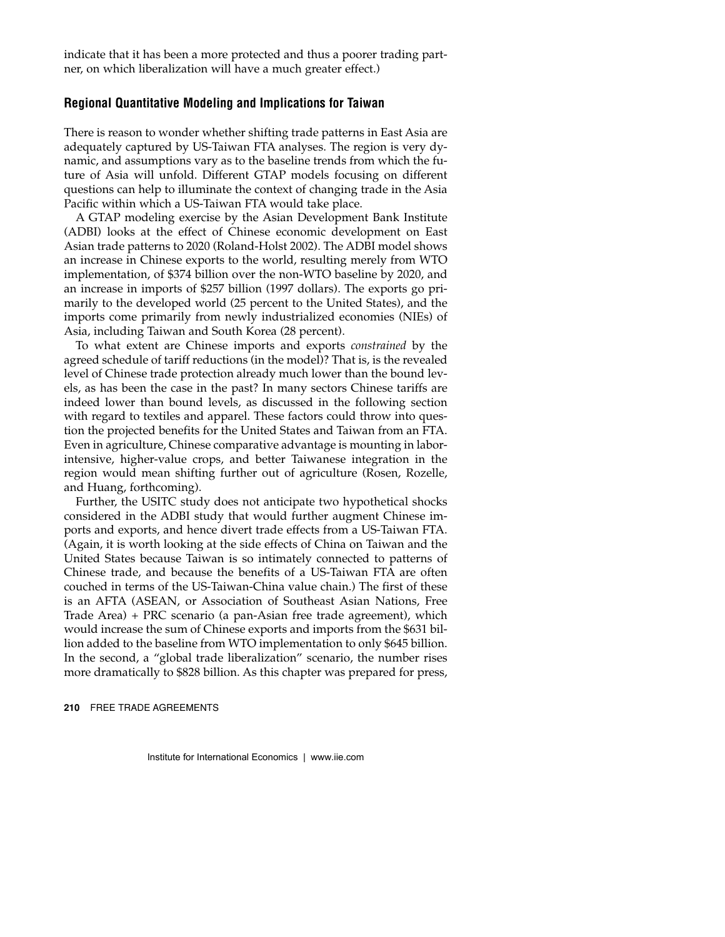indicate that it has been a more protected and thus a poorer trading partner, on which liberalization will have a much greater effect.)

#### **Regional Quantitative Modeling and Implications for Taiwan**

There is reason to wonder whether shifting trade patterns in East Asia are adequately captured by US-Taiwan FTA analyses. The region is very dynamic, and assumptions vary as to the baseline trends from which the future of Asia will unfold. Different GTAP models focusing on different questions can help to illuminate the context of changing trade in the Asia Pacific within which a US-Taiwan FTA would take place.

A GTAP modeling exercise by the Asian Development Bank Institute (ADBI) looks at the effect of Chinese economic development on East Asian trade patterns to 2020 (Roland-Holst 2002). The ADBI model shows an increase in Chinese exports to the world, resulting merely from WTO implementation, of \$374 billion over the non-WTO baseline by 2020, and an increase in imports of \$257 billion (1997 dollars). The exports go primarily to the developed world (25 percent to the United States), and the imports come primarily from newly industrialized economies (NIEs) of Asia, including Taiwan and South Korea (28 percent).

To what extent are Chinese imports and exports *constrained* by the agreed schedule of tariff reductions (in the model)? That is, is the revealed level of Chinese trade protection already much lower than the bound levels, as has been the case in the past? In many sectors Chinese tariffs are indeed lower than bound levels, as discussed in the following section with regard to textiles and apparel. These factors could throw into question the projected benefits for the United States and Taiwan from an FTA. Even in agriculture, Chinese comparative advantage is mounting in laborintensive, higher-value crops, and better Taiwanese integration in the region would mean shifting further out of agriculture (Rosen, Rozelle, and Huang, forthcoming).

Further, the USITC study does not anticipate two hypothetical shocks considered in the ADBI study that would further augment Chinese imports and exports, and hence divert trade effects from a US-Taiwan FTA. (Again, it is worth looking at the side effects of China on Taiwan and the United States because Taiwan is so intimately connected to patterns of Chinese trade, and because the benefits of a US-Taiwan FTA are often couched in terms of the US-Taiwan-China value chain.) The first of these is an AFTA (ASEAN, or Association of Southeast Asian Nations, Free Trade Area) + PRC scenario (a pan-Asian free trade agreement), which would increase the sum of Chinese exports and imports from the \$631 billion added to the baseline from WTO implementation to only \$645 billion. In the second, a "global trade liberalization" scenario, the number rises more dramatically to \$828 billion. As this chapter was prepared for press,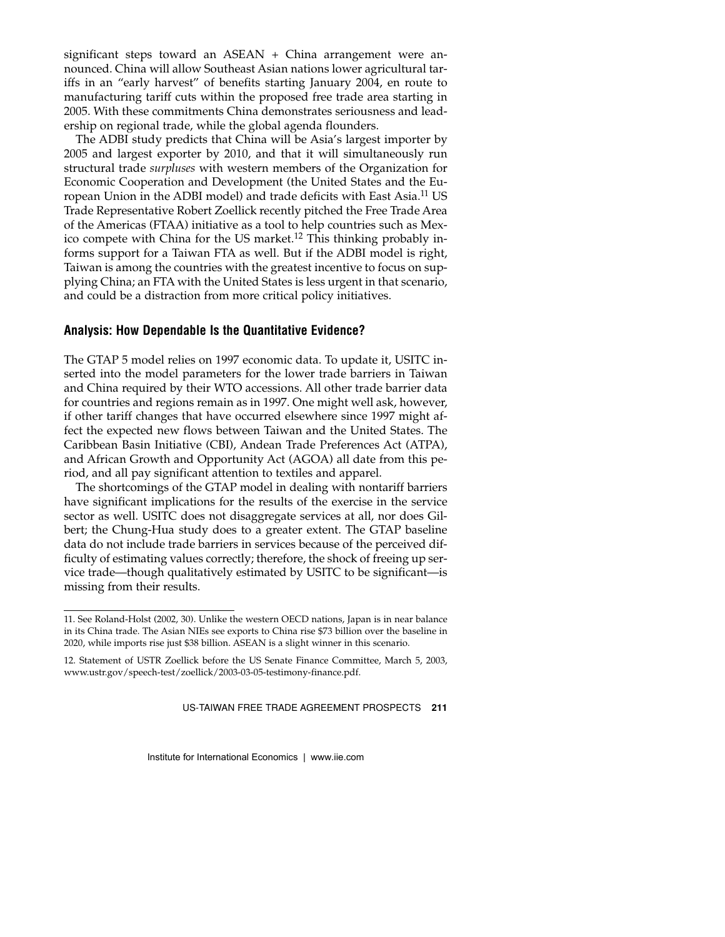significant steps toward an ASEAN + China arrangement were announced. China will allow Southeast Asian nations lower agricultural tariffs in an "early harvest" of benefits starting January 2004, en route to manufacturing tariff cuts within the proposed free trade area starting in 2005. With these commitments China demonstrates seriousness and leadership on regional trade, while the global agenda flounders.

The ADBI study predicts that China will be Asia's largest importer by 2005 and largest exporter by 2010, and that it will simultaneously run structural trade *surpluses* with western members of the Organization for Economic Cooperation and Development (the United States and the European Union in the ADBI model) and trade deficits with East Asia.11 US Trade Representative Robert Zoellick recently pitched the Free Trade Area of the Americas (FTAA) initiative as a tool to help countries such as Mexico compete with China for the US market.<sup>12</sup> This thinking probably informs support for a Taiwan FTA as well. But if the ADBI model is right, Taiwan is among the countries with the greatest incentive to focus on supplying China; an FTA with the United States is less urgent in that scenario, and could be a distraction from more critical policy initiatives.

#### **Analysis: How Dependable Is the Quantitative Evidence?**

The GTAP 5 model relies on 1997 economic data. To update it, USITC inserted into the model parameters for the lower trade barriers in Taiwan and China required by their WTO accessions. All other trade barrier data for countries and regions remain as in 1997. One might well ask, however, if other tariff changes that have occurred elsewhere since 1997 might affect the expected new flows between Taiwan and the United States. The Caribbean Basin Initiative (CBI), Andean Trade Preferences Act (ATPA), and African Growth and Opportunity Act (AGOA) all date from this period, and all pay significant attention to textiles and apparel.

The shortcomings of the GTAP model in dealing with nontariff barriers have significant implications for the results of the exercise in the service sector as well. USITC does not disaggregate services at all, nor does Gilbert; the Chung-Hua study does to a greater extent. The GTAP baseline data do not include trade barriers in services because of the perceived difficulty of estimating values correctly; therefore, the shock of freeing up service trade—though qualitatively estimated by USITC to be significant—is missing from their results.

<sup>11.</sup> See Roland-Holst (2002, 30). Unlike the western OECD nations, Japan is in near balance in its China trade. The Asian NIEs see exports to China rise \$73 billion over the baseline in 2020, while imports rise just \$38 billion. ASEAN is a slight winner in this scenario.

<sup>12.</sup> Statement of USTR Zoellick before the US Senate Finance Committee, March 5, 2003, www.ustr.gov/speech-test/zoellick/2003-03-05-testimony-finance.pdf.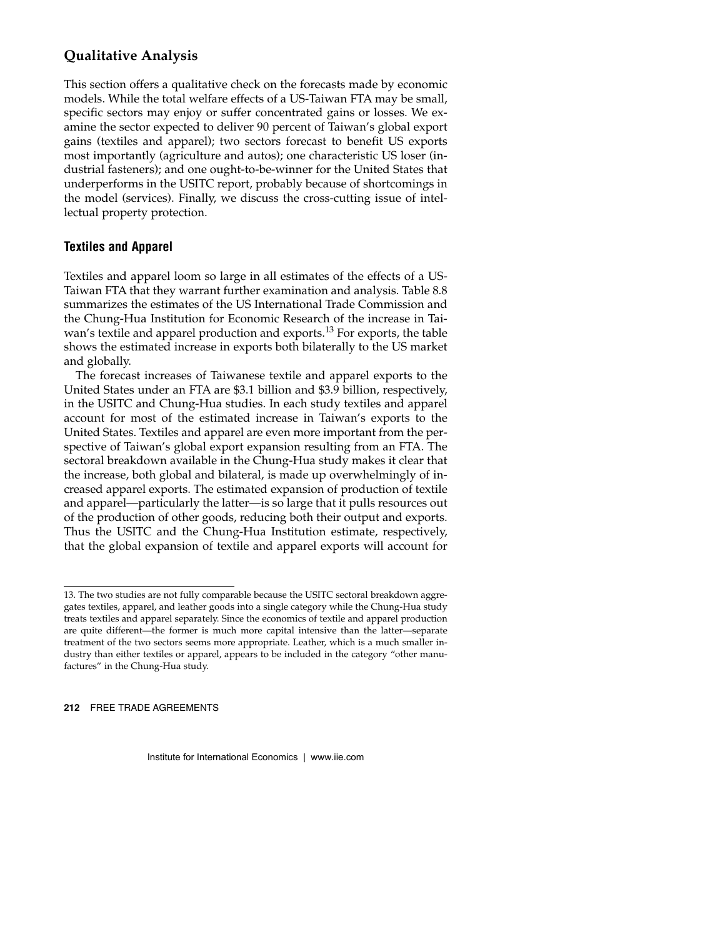# **Qualitative Analysis**

This section offers a qualitative check on the forecasts made by economic models. While the total welfare effects of a US-Taiwan FTA may be small, specific sectors may enjoy or suffer concentrated gains or losses. We examine the sector expected to deliver 90 percent of Taiwan's global export gains (textiles and apparel); two sectors forecast to benefit US exports most importantly (agriculture and autos); one characteristic US loser (industrial fasteners); and one ought-to-be-winner for the United States that underperforms in the USITC report, probably because of shortcomings in the model (services). Finally, we discuss the cross-cutting issue of intellectual property protection.

# **Textiles and Apparel**

Textiles and apparel loom so large in all estimates of the effects of a US-Taiwan FTA that they warrant further examination and analysis. Table 8.8 summarizes the estimates of the US International Trade Commission and the Chung-Hua Institution for Economic Research of the increase in Taiwan's textile and apparel production and exports.<sup>13</sup> For exports, the table shows the estimated increase in exports both bilaterally to the US market and globally.

The forecast increases of Taiwanese textile and apparel exports to the United States under an FTA are \$3.1 billion and \$3.9 billion, respectively, in the USITC and Chung-Hua studies. In each study textiles and apparel account for most of the estimated increase in Taiwan's exports to the United States. Textiles and apparel are even more important from the perspective of Taiwan's global export expansion resulting from an FTA. The sectoral breakdown available in the Chung-Hua study makes it clear that the increase, both global and bilateral, is made up overwhelmingly of increased apparel exports. The estimated expansion of production of textile and apparel—particularly the latter—is so large that it pulls resources out of the production of other goods, reducing both their output and exports. Thus the USITC and the Chung-Hua Institution estimate, respectively, that the global expansion of textile and apparel exports will account for

<sup>13.</sup> The two studies are not fully comparable because the USITC sectoral breakdown aggregates textiles, apparel, and leather goods into a single category while the Chung-Hua study treats textiles and apparel separately. Since the economics of textile and apparel production are quite different—the former is much more capital intensive than the latter—separate treatment of the two sectors seems more appropriate. Leather, which is a much smaller industry than either textiles or apparel, appears to be included in the category "other manufactures" in the Chung-Hua study.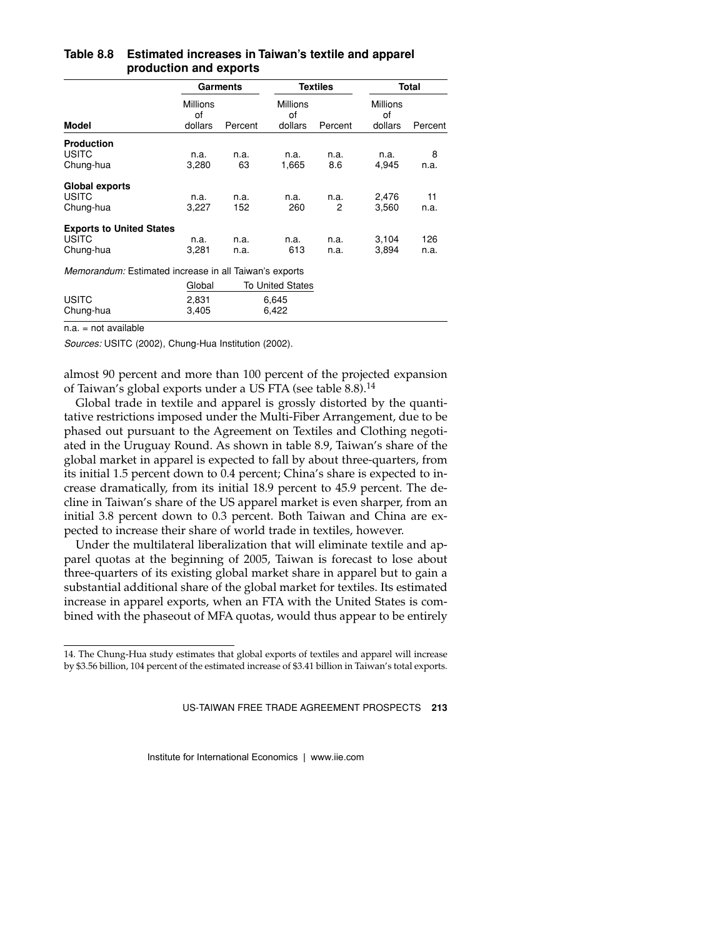|                                                              |                                  | Garments     |                                  | <b>Textiles</b> |                                  | Total       |
|--------------------------------------------------------------|----------------------------------|--------------|----------------------------------|-----------------|----------------------------------|-------------|
| Model                                                        | <b>Millions</b><br>οf<br>dollars | Percent      | <b>Millions</b><br>of<br>dollars | Percent         | <b>Millions</b><br>οf<br>dollars | Percent     |
| <b>Production</b><br><b>USITC</b><br>Chung-hua               | n.a.<br>3,280                    | n.a.<br>63   | n.a.<br>1,665                    | n.a.<br>8.6     | n.a.<br>4,945                    | 8<br>n.a.   |
| Global exports<br><b>USITC</b><br>Chung-hua                  | n.a.<br>3,227                    | n.a.<br>152  | n.a.<br>260                      | n.a.<br>2       | 2,476<br>3,560                   | 11<br>n.a.  |
| <b>Exports to United States</b><br><b>USITC</b><br>Chung-hua | n.a.<br>3,281                    | n.a.<br>n.a. | n.a.<br>613                      | n.a.<br>n.a.    | 3,104<br>3,894                   | 126<br>n.a. |
| Memorandum: Estimated increase in all Taiwan's exports       |                                  |              |                                  |                 |                                  |             |
|                                                              | Global                           |              | <b>To United States</b>          |                 |                                  |             |
| <b>USITC</b><br>Chung-hua                                    | 2,831<br>3,405                   |              | 6,645<br>6,422                   |                 |                                  |             |

#### **Table 8.8 Estimated increases in Taiwan's textile and apparel production and exports**

n.a. = not available

*Sources:* USITC (2002), Chung-Hua Institution (2002).

almost 90 percent and more than 100 percent of the projected expansion of Taiwan's global exports under a US FTA (see table 8.8).<sup>14</sup>

Global trade in textile and apparel is grossly distorted by the quantitative restrictions imposed under the Multi-Fiber Arrangement, due to be phased out pursuant to the Agreement on Textiles and Clothing negotiated in the Uruguay Round. As shown in table 8.9, Taiwan's share of the global market in apparel is expected to fall by about three-quarters, from its initial 1.5 percent down to 0.4 percent; China's share is expected to increase dramatically, from its initial 18.9 percent to 45.9 percent. The decline in Taiwan's share of the US apparel market is even sharper, from an initial 3.8 percent down to 0.3 percent. Both Taiwan and China are expected to increase their share of world trade in textiles, however.

Under the multilateral liberalization that will eliminate textile and apparel quotas at the beginning of 2005, Taiwan is forecast to lose about three-quarters of its existing global market share in apparel but to gain a substantial additional share of the global market for textiles. Its estimated increase in apparel exports, when an FTA with the United States is combined with the phaseout of MFA quotas, would thus appear to be entirely

<sup>14.</sup> The Chung-Hua study estimates that global exports of textiles and apparel will increase by \$3.56 billion, 104 percent of the estimated increase of \$3.41 billion in Taiwan's total exports.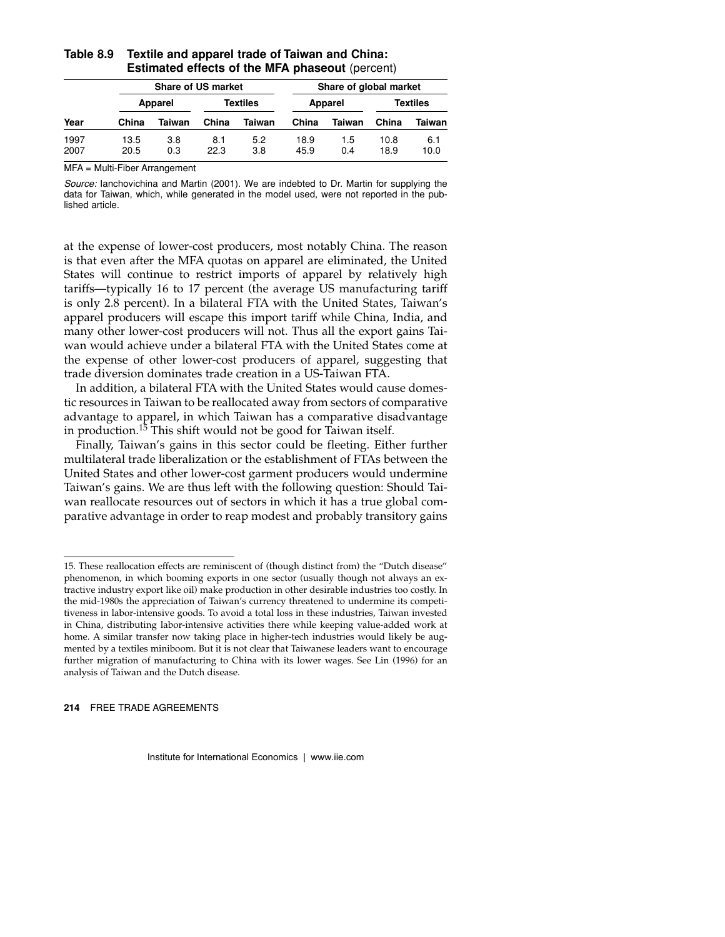|              |              | <b>Share of US market</b> |             |            |              | Share of global market |              |             |
|--------------|--------------|---------------------------|-------------|------------|--------------|------------------------|--------------|-------------|
|              |              | Apparel                   |             | Textiles   |              | Apparel                |              | Textiles    |
| Year         | China        | Taiwan                    | China       | Taiwan     | China        | Taiwan                 | China        | Taiwan      |
| 1997<br>2007 | 13.5<br>20.5 | 3.8<br>0.3                | 8.1<br>22.3 | 5.2<br>3.8 | 18.9<br>45.9 | 1.5<br>0.4             | 10.8<br>18.9 | 6.1<br>10.0 |

#### **Table 8.9 Textile and apparel trade of Taiwan and China: Estimated effects of the MFA phaseout** (percent)

MFA = Multi-Fiber Arrangement

*Source:* Ianchovichina and Martin (2001). We are indebted to Dr. Martin for supplying the data for Taiwan, which, while generated in the model used, were not reported in the published article.

at the expense of lower-cost producers, most notably China. The reason is that even after the MFA quotas on apparel are eliminated, the United States will continue to restrict imports of apparel by relatively high tariffs—typically 16 to 17 percent (the average US manufacturing tariff is only 2.8 percent). In a bilateral FTA with the United States, Taiwan's apparel producers will escape this import tariff while China, India, and many other lower-cost producers will not. Thus all the export gains Taiwan would achieve under a bilateral FTA with the United States come at the expense of other lower-cost producers of apparel, suggesting that trade diversion dominates trade creation in a US-Taiwan FTA.

In addition, a bilateral FTA with the United States would cause domestic resources in Taiwan to be reallocated away from sectors of comparative advantage to apparel, in which Taiwan has a comparative disadvantage in production.<sup>15</sup> This shift would not be good for Taiwan itself.

Finally, Taiwan's gains in this sector could be fleeting. Either further multilateral trade liberalization or the establishment of FTAs between the United States and other lower-cost garment producers would undermine Taiwan's gains. We are thus left with the following question: Should Taiwan reallocate resources out of sectors in which it has a true global comparative advantage in order to reap modest and probably transitory gains

<sup>15.</sup> These reallocation effects are reminiscent of (though distinct from) the "Dutch disease" phenomenon, in which booming exports in one sector (usually though not always an extractive industry export like oil) make production in other desirable industries too costly. In the mid-1980s the appreciation of Taiwan's currency threatened to undermine its competitiveness in labor-intensive goods. To avoid a total loss in these industries, Taiwan invested in China, distributing labor-intensive activities there while keeping value-added work at home. A similar transfer now taking place in higher-tech industries would likely be augmented by a textiles miniboom. But it is not clear that Taiwanese leaders want to encourage further migration of manufacturing to China with its lower wages. See Lin (1996) for an analysis of Taiwan and the Dutch disease.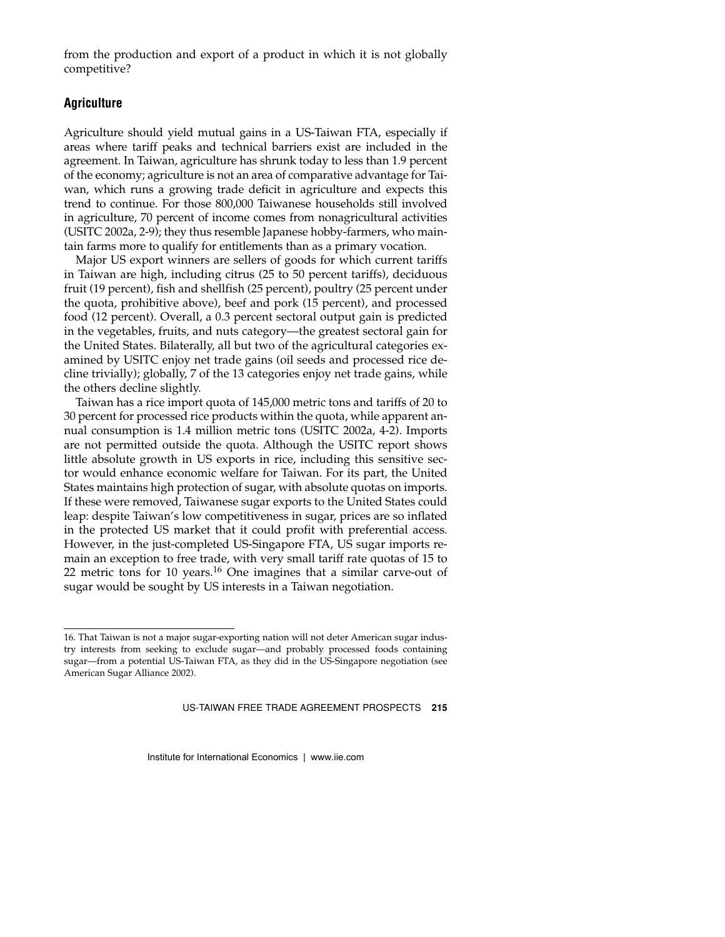from the production and export of a product in which it is not globally competitive?

#### **Agriculture**

Agriculture should yield mutual gains in a US-Taiwan FTA, especially if areas where tariff peaks and technical barriers exist are included in the agreement. In Taiwan, agriculture has shrunk today to less than 1.9 percent of the economy; agriculture is not an area of comparative advantage for Taiwan, which runs a growing trade deficit in agriculture and expects this trend to continue. For those 800,000 Taiwanese households still involved in agriculture, 70 percent of income comes from nonagricultural activities (USITC 2002a, 2-9); they thus resemble Japanese hobby-farmers, who maintain farms more to qualify for entitlements than as a primary vocation.

Major US export winners are sellers of goods for which current tariffs in Taiwan are high, including citrus (25 to 50 percent tariffs), deciduous fruit (19 percent), fish and shellfish (25 percent), poultry (25 percent under the quota, prohibitive above), beef and pork (15 percent), and processed food (12 percent). Overall, a 0.3 percent sectoral output gain is predicted in the vegetables, fruits, and nuts category—the greatest sectoral gain for the United States. Bilaterally, all but two of the agricultural categories examined by USITC enjoy net trade gains (oil seeds and processed rice decline trivially); globally, 7 of the 13 categories enjoy net trade gains, while the others decline slightly.

Taiwan has a rice import quota of 145,000 metric tons and tariffs of 20 to 30 percent for processed rice products within the quota, while apparent annual consumption is 1.4 million metric tons (USITC 2002a, 4-2). Imports are not permitted outside the quota. Although the USITC report shows little absolute growth in US exports in rice, including this sensitive sector would enhance economic welfare for Taiwan. For its part, the United States maintains high protection of sugar, with absolute quotas on imports. If these were removed, Taiwanese sugar exports to the United States could leap: despite Taiwan's low competitiveness in sugar, prices are so inflated in the protected US market that it could profit with preferential access. However, in the just-completed US-Singapore FTA, US sugar imports remain an exception to free trade, with very small tariff rate quotas of 15 to 22 metric tons for 10 years.16 One imagines that a similar carve-out of sugar would be sought by US interests in a Taiwan negotiation.

<sup>16.</sup> That Taiwan is not a major sugar-exporting nation will not deter American sugar industry interests from seeking to exclude sugar—and probably processed foods containing sugar—from a potential US-Taiwan FTA, as they did in the US-Singapore negotiation (see American Sugar Alliance 2002).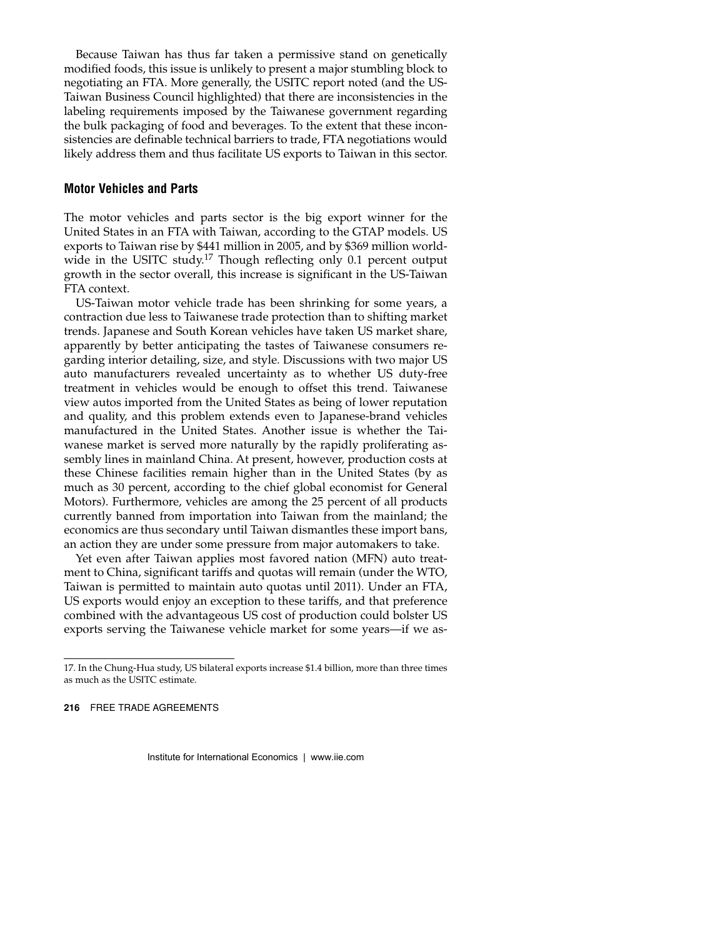Because Taiwan has thus far taken a permissive stand on genetically modified foods, this issue is unlikely to present a major stumbling block to negotiating an FTA. More generally, the USITC report noted (and the US-Taiwan Business Council highlighted) that there are inconsistencies in the labeling requirements imposed by the Taiwanese government regarding the bulk packaging of food and beverages. To the extent that these inconsistencies are definable technical barriers to trade, FTA negotiations would likely address them and thus facilitate US exports to Taiwan in this sector.

#### **Motor Vehicles and Parts**

The motor vehicles and parts sector is the big export winner for the United States in an FTA with Taiwan, according to the GTAP models. US exports to Taiwan rise by \$441 million in 2005, and by \$369 million worldwide in the USITC study.<sup>17</sup> Though reflecting only 0.1 percent output growth in the sector overall, this increase is significant in the US-Taiwan FTA context.

US-Taiwan motor vehicle trade has been shrinking for some years, a contraction due less to Taiwanese trade protection than to shifting market trends. Japanese and South Korean vehicles have taken US market share, apparently by better anticipating the tastes of Taiwanese consumers regarding interior detailing, size, and style. Discussions with two major US auto manufacturers revealed uncertainty as to whether US duty-free treatment in vehicles would be enough to offset this trend. Taiwanese view autos imported from the United States as being of lower reputation and quality, and this problem extends even to Japanese-brand vehicles manufactured in the United States. Another issue is whether the Taiwanese market is served more naturally by the rapidly proliferating assembly lines in mainland China. At present, however, production costs at these Chinese facilities remain higher than in the United States (by as much as 30 percent, according to the chief global economist for General Motors). Furthermore, vehicles are among the 25 percent of all products currently banned from importation into Taiwan from the mainland; the economics are thus secondary until Taiwan dismantles these import bans, an action they are under some pressure from major automakers to take.

Yet even after Taiwan applies most favored nation (MFN) auto treatment to China, significant tariffs and quotas will remain (under the WTO, Taiwan is permitted to maintain auto quotas until 2011). Under an FTA, US exports would enjoy an exception to these tariffs, and that preference combined with the advantageous US cost of production could bolster US exports serving the Taiwanese vehicle market for some years—if we as-

<sup>17.</sup> In the Chung-Hua study, US bilateral exports increase \$1.4 billion, more than three times as much as the USITC estimate.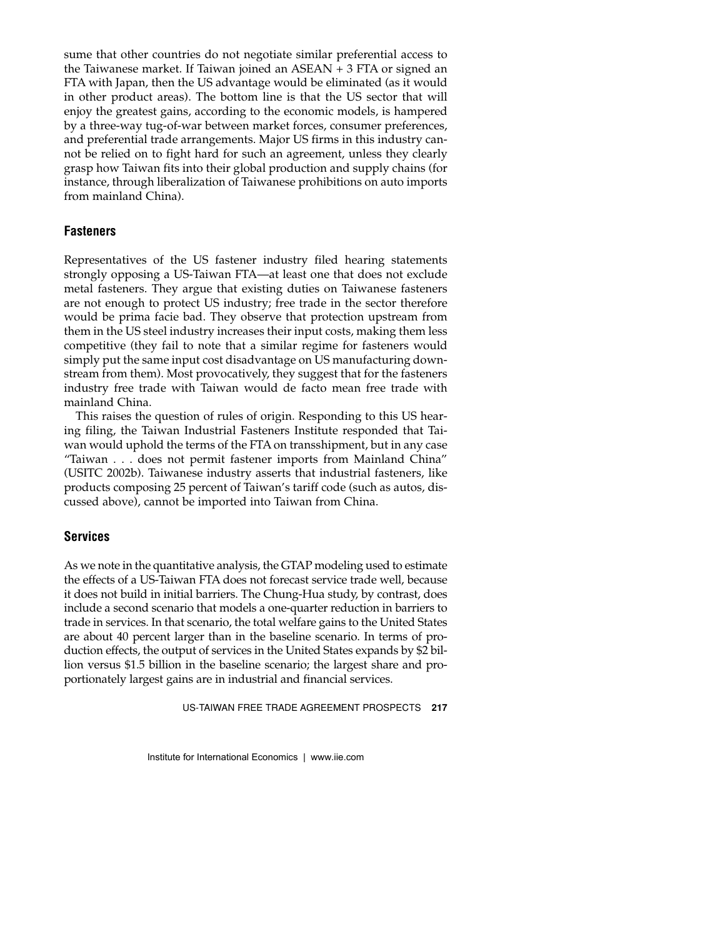sume that other countries do not negotiate similar preferential access to the Taiwanese market. If Taiwan joined an ASEAN + 3 FTA or signed an FTA with Japan, then the US advantage would be eliminated (as it would in other product areas). The bottom line is that the US sector that will enjoy the greatest gains, according to the economic models, is hampered by a three-way tug-of-war between market forces, consumer preferences, and preferential trade arrangements. Major US firms in this industry cannot be relied on to fight hard for such an agreement, unless they clearly grasp how Taiwan fits into their global production and supply chains (for instance, through liberalization of Taiwanese prohibitions on auto imports from mainland China).

# **Fasteners**

Representatives of the US fastener industry filed hearing statements strongly opposing a US-Taiwan FTA—at least one that does not exclude metal fasteners. They argue that existing duties on Taiwanese fasteners are not enough to protect US industry; free trade in the sector therefore would be prima facie bad. They observe that protection upstream from them in the US steel industry increases their input costs, making them less competitive (they fail to note that a similar regime for fasteners would simply put the same input cost disadvantage on US manufacturing downstream from them). Most provocatively, they suggest that for the fasteners industry free trade with Taiwan would de facto mean free trade with mainland China.

This raises the question of rules of origin. Responding to this US hearing filing, the Taiwan Industrial Fasteners Institute responded that Taiwan would uphold the terms of the FTA on transshipment, but in any case "Taiwan . . . does not permit fastener imports from Mainland China" (USITC 2002b). Taiwanese industry asserts that industrial fasteners, like products composing 25 percent of Taiwan's tariff code (such as autos, discussed above), cannot be imported into Taiwan from China.

#### **Services**

As we note in the quantitative analysis, the GTAP modeling used to estimate the effects of a US-Taiwan FTA does not forecast service trade well, because it does not build in initial barriers. The Chung-Hua study, by contrast, does include a second scenario that models a one-quarter reduction in barriers to trade in services. In that scenario, the total welfare gains to the United States are about 40 percent larger than in the baseline scenario. In terms of production effects, the output of services in the United States expands by \$2 billion versus \$1.5 billion in the baseline scenario; the largest share and proportionately largest gains are in industrial and financial services.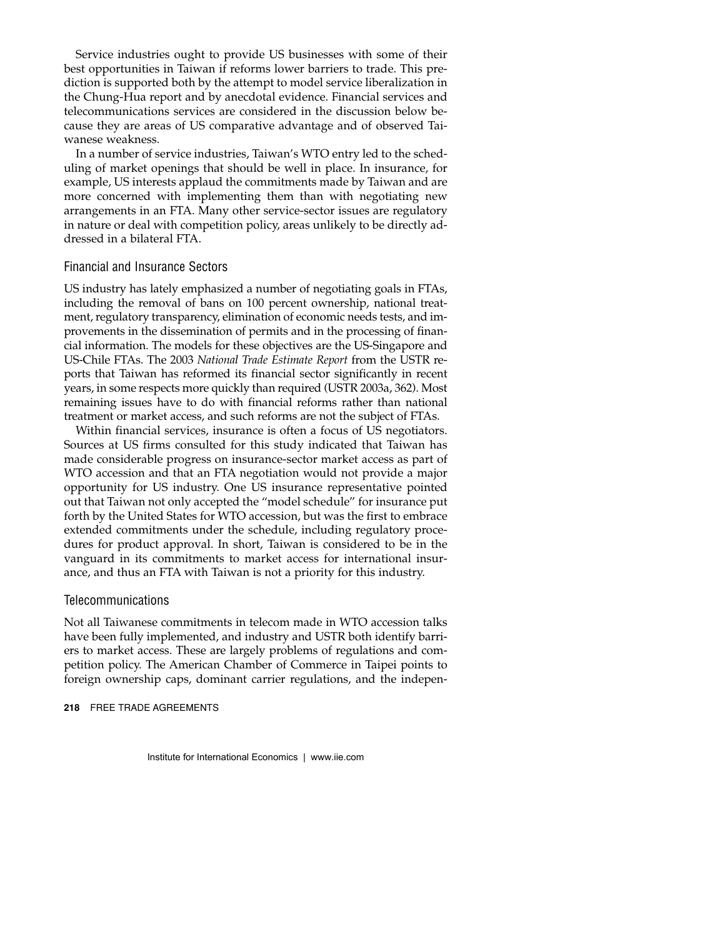Service industries ought to provide US businesses with some of their best opportunities in Taiwan if reforms lower barriers to trade. This prediction is supported both by the attempt to model service liberalization in the Chung-Hua report and by anecdotal evidence. Financial services and telecommunications services are considered in the discussion below because they are areas of US comparative advantage and of observed Taiwanese weakness.

In a number of service industries, Taiwan's WTO entry led to the scheduling of market openings that should be well in place. In insurance, for example, US interests applaud the commitments made by Taiwan and are more concerned with implementing them than with negotiating new arrangements in an FTA. Many other service-sector issues are regulatory in nature or deal with competition policy, areas unlikely to be directly addressed in a bilateral FTA.

#### Financial and Insurance Sectors

US industry has lately emphasized a number of negotiating goals in FTAs, including the removal of bans on 100 percent ownership, national treatment, regulatory transparency, elimination of economic needs tests, and improvements in the dissemination of permits and in the processing of financial information. The models for these objectives are the US-Singapore and US-Chile FTAs. The 2003 *National Trade Estimate Report* from the USTR reports that Taiwan has reformed its financial sector significantly in recent years, in some respects more quickly than required (USTR 2003a, 362). Most remaining issues have to do with financial reforms rather than national treatment or market access, and such reforms are not the subject of FTAs.

Within financial services, insurance is often a focus of US negotiators. Sources at US firms consulted for this study indicated that Taiwan has made considerable progress on insurance-sector market access as part of WTO accession and that an FTA negotiation would not provide a major opportunity for US industry. One US insurance representative pointed out that Taiwan not only accepted the "model schedule" for insurance put forth by the United States for WTO accession, but was the first to embrace extended commitments under the schedule, including regulatory procedures for product approval. In short, Taiwan is considered to be in the vanguard in its commitments to market access for international insurance, and thus an FTA with Taiwan is not a priority for this industry.

#### **Telecommunications**

Not all Taiwanese commitments in telecom made in WTO accession talks have been fully implemented, and industry and USTR both identify barriers to market access. These are largely problems of regulations and competition policy. The American Chamber of Commerce in Taipei points to foreign ownership caps, dominant carrier regulations, and the indepen-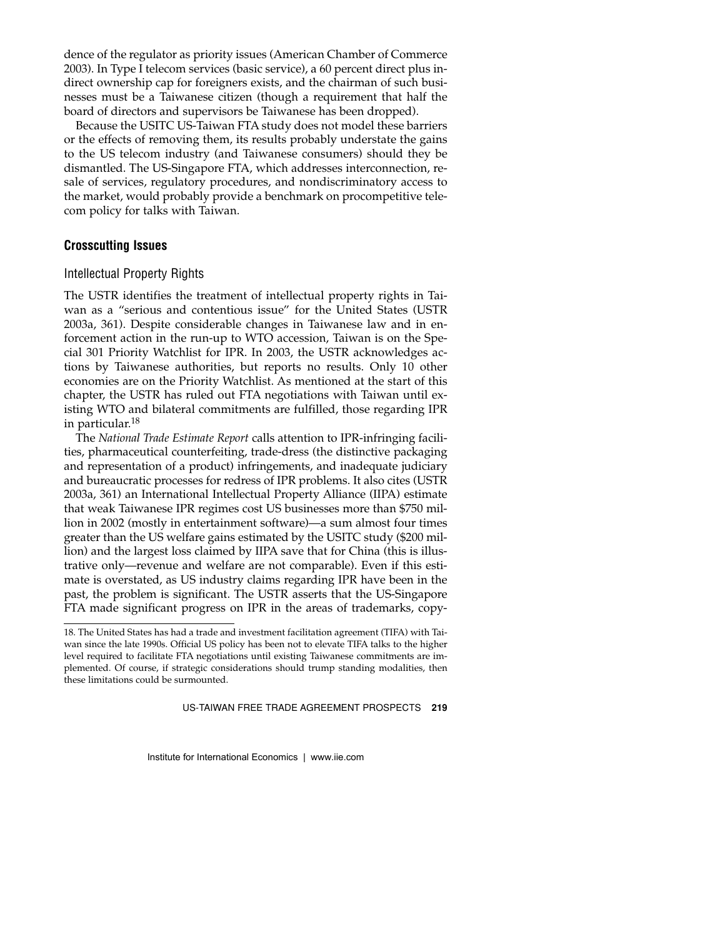dence of the regulator as priority issues (American Chamber of Commerce 2003). In Type I telecom services (basic service), a 60 percent direct plus indirect ownership cap for foreigners exists, and the chairman of such businesses must be a Taiwanese citizen (though a requirement that half the board of directors and supervisors be Taiwanese has been dropped).

Because the USITC US-Taiwan FTA study does not model these barriers or the effects of removing them, its results probably understate the gains to the US telecom industry (and Taiwanese consumers) should they be dismantled. The US-Singapore FTA, which addresses interconnection, resale of services, regulatory procedures, and nondiscriminatory access to the market, would probably provide a benchmark on procompetitive telecom policy for talks with Taiwan.

#### **Crosscutting Issues**

#### Intellectual Property Rights

The USTR identifies the treatment of intellectual property rights in Taiwan as a "serious and contentious issue" for the United States (USTR 2003a, 361). Despite considerable changes in Taiwanese law and in enforcement action in the run-up to WTO accession, Taiwan is on the Special 301 Priority Watchlist for IPR. In 2003, the USTR acknowledges actions by Taiwanese authorities, but reports no results. Only 10 other economies are on the Priority Watchlist. As mentioned at the start of this chapter, the USTR has ruled out FTA negotiations with Taiwan until existing WTO and bilateral commitments are fulfilled, those regarding IPR in particular.<sup>18</sup>

The *National Trade Estimate Report* calls attention to IPR-infringing facilities, pharmaceutical counterfeiting, trade-dress (the distinctive packaging and representation of a product) infringements, and inadequate judiciary and bureaucratic processes for redress of IPR problems. It also cites (USTR 2003a, 361) an International Intellectual Property Alliance (IIPA) estimate that weak Taiwanese IPR regimes cost US businesses more than \$750 million in 2002 (mostly in entertainment software)—a sum almost four times greater than the US welfare gains estimated by the USITC study (\$200 million) and the largest loss claimed by IIPA save that for China (this is illustrative only—revenue and welfare are not comparable). Even if this estimate is overstated, as US industry claims regarding IPR have been in the past, the problem is significant. The USTR asserts that the US-Singapore FTA made significant progress on IPR in the areas of trademarks, copy-

<sup>18.</sup> The United States has had a trade and investment facilitation agreement (TIFA) with Taiwan since the late 1990s. Official US policy has been not to elevate TIFA talks to the higher level required to facilitate FTA negotiations until existing Taiwanese commitments are implemented. Of course, if strategic considerations should trump standing modalities, then these limitations could be surmounted.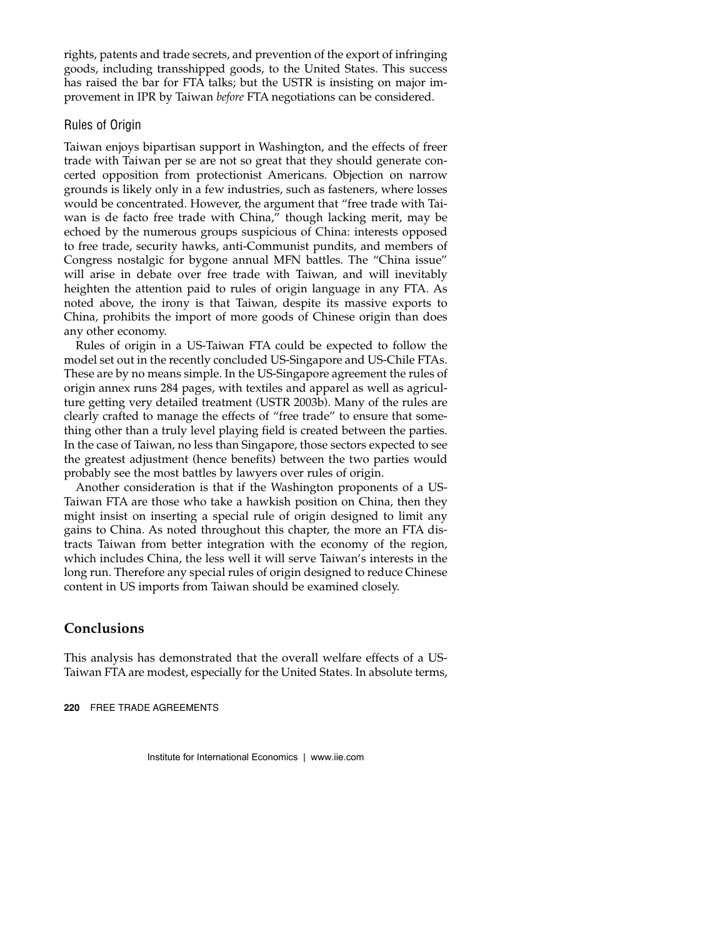rights, patents and trade secrets, and prevention of the export of infringing goods, including transshipped goods, to the United States. This success has raised the bar for FTA talks; but the USTR is insisting on major improvement in IPR by Taiwan *before* FTA negotiations can be considered.

#### Rules of Origin

Taiwan enjoys bipartisan support in Washington, and the effects of freer trade with Taiwan per se are not so great that they should generate concerted opposition from protectionist Americans. Objection on narrow grounds is likely only in a few industries, such as fasteners, where losses would be concentrated. However, the argument that "free trade with Taiwan is de facto free trade with China," though lacking merit, may be echoed by the numerous groups suspicious of China: interests opposed to free trade, security hawks, anti-Communist pundits, and members of Congress nostalgic for bygone annual MFN battles. The "China issue" will arise in debate over free trade with Taiwan, and will inevitably heighten the attention paid to rules of origin language in any FTA. As noted above, the irony is that Taiwan, despite its massive exports to China, prohibits the import of more goods of Chinese origin than does any other economy.

Rules of origin in a US-Taiwan FTA could be expected to follow the model set out in the recently concluded US-Singapore and US-Chile FTAs. These are by no means simple. In the US-Singapore agreement the rules of origin annex runs 284 pages, with textiles and apparel as well as agriculture getting very detailed treatment (USTR 2003b). Many of the rules are clearly crafted to manage the effects of "free trade" to ensure that something other than a truly level playing field is created between the parties. In the case of Taiwan, no less than Singapore, those sectors expected to see the greatest adjustment (hence benefits) between the two parties would probably see the most battles by lawyers over rules of origin.

Another consideration is that if the Washington proponents of a US-Taiwan FTA are those who take a hawkish position on China, then they might insist on inserting a special rule of origin designed to limit any gains to China. As noted throughout this chapter, the more an FTA distracts Taiwan from better integration with the economy of the region, which includes China, the less well it will serve Taiwan's interests in the long run. Therefore any special rules of origin designed to reduce Chinese content in US imports from Taiwan should be examined closely.

# **Conclusions**

This analysis has demonstrated that the overall welfare effects of a US-Taiwan FTA are modest, especially for the United States. In absolute terms,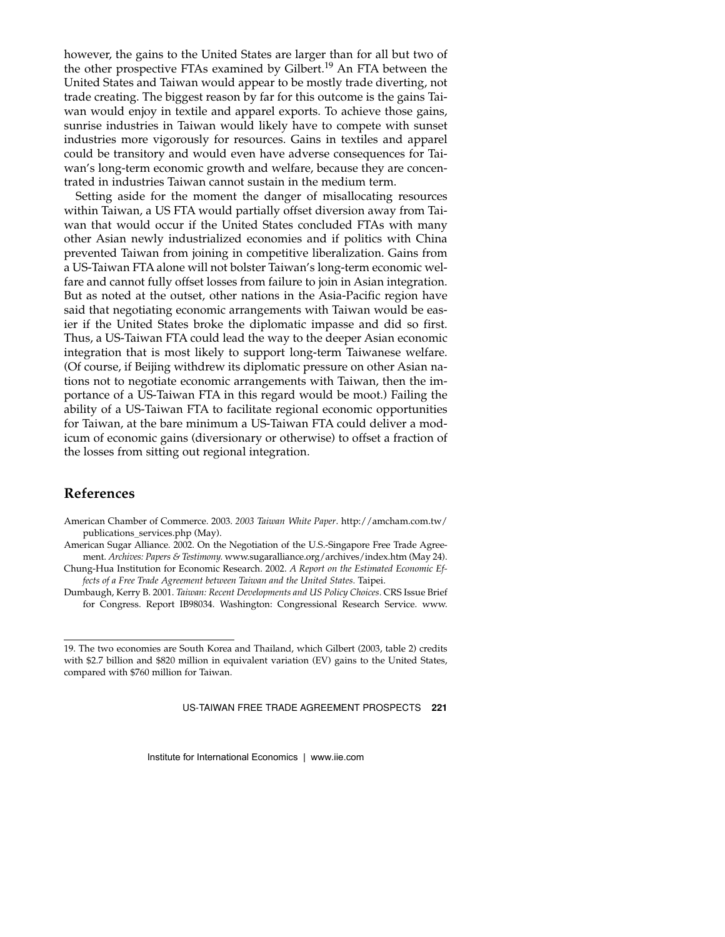however, the gains to the United States are larger than for all but two of the other prospective FTAs examined by Gilbert.<sup>19</sup> An FTA between the United States and Taiwan would appear to be mostly trade diverting, not trade creating. The biggest reason by far for this outcome is the gains Taiwan would enjoy in textile and apparel exports. To achieve those gains, sunrise industries in Taiwan would likely have to compete with sunset industries more vigorously for resources. Gains in textiles and apparel could be transitory and would even have adverse consequences for Taiwan's long-term economic growth and welfare, because they are concentrated in industries Taiwan cannot sustain in the medium term.

Setting aside for the moment the danger of misallocating resources within Taiwan, a US FTA would partially offset diversion away from Taiwan that would occur if the United States concluded FTAs with many other Asian newly industrialized economies and if politics with China prevented Taiwan from joining in competitive liberalization. Gains from a US-Taiwan FTA alone will not bolster Taiwan's long-term economic welfare and cannot fully offset losses from failure to join in Asian integration. But as noted at the outset, other nations in the Asia-Pacific region have said that negotiating economic arrangements with Taiwan would be easier if the United States broke the diplomatic impasse and did so first. Thus, a US-Taiwan FTA could lead the way to the deeper Asian economic integration that is most likely to support long-term Taiwanese welfare. (Of course, if Beijing withdrew its diplomatic pressure on other Asian nations not to negotiate economic arrangements with Taiwan, then the importance of a US-Taiwan FTA in this regard would be moot.) Failing the ability of a US-Taiwan FTA to facilitate regional economic opportunities for Taiwan, at the bare minimum a US-Taiwan FTA could deliver a modicum of economic gains (diversionary or otherwise) to offset a fraction of the losses from sitting out regional integration.

## **References**

- American Chamber of Commerce. 2003. *2003 Taiwan White Paper*. http://amcham.com.tw/ publications\_services.php (May).
- American Sugar Alliance. 2002. On the Negotiation of the U.S.-Singapore Free Trade Agreement. *Archives: Papers & Testimony.* www.sugaralliance.org/archives/index.htm (May 24).
- Chung-Hua Institution for Economic Research. 2002. *A Report on the Estimated Economic Effects of a Free Trade Agreement between Taiwan and the United States.* Taipei.
- Dumbaugh, Kerry B. 2001. *Taiwan: Recent Developments and US Policy Choices.* CRS Issue Brief for Congress. Report IB98034. Washington: Congressional Research Service. www.

US-TAIWAN FREE TRADE AGREEMENT PROSPECTS **221**

<sup>19.</sup> The two economies are South Korea and Thailand, which Gilbert (2003, table 2) credits with \$2.7 billion and \$820 million in equivalent variation (EV) gains to the United States, compared with \$760 million for Taiwan.